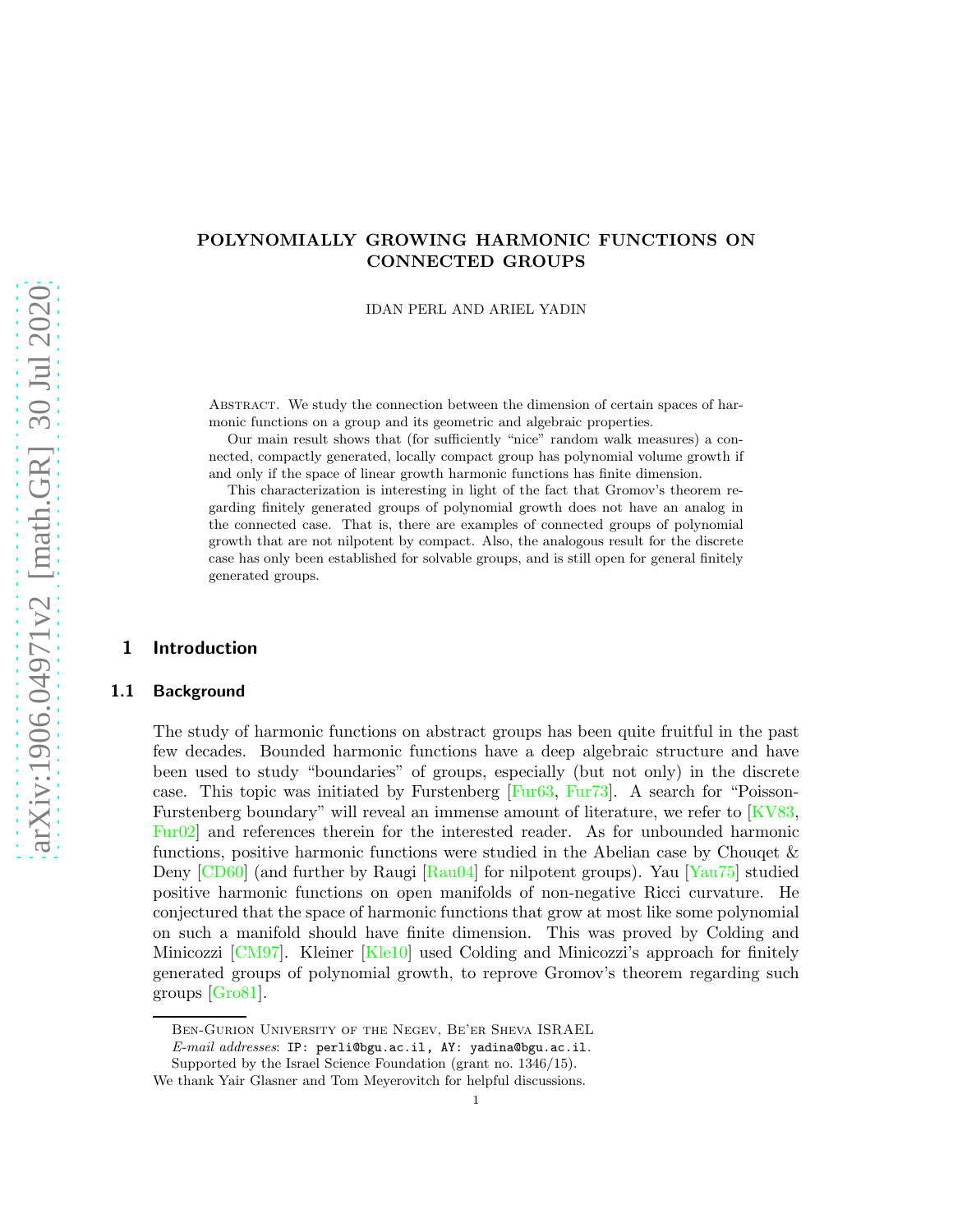# POLYNOMIALLY GROWING HARMONIC FUNCTIONS ON CONNECTED GROUPS

IDAN PERL AND ARIEL YADIN

Abstract. We study the connection between the dimension of certain spaces of harmonic functions on a group and its geometric and algebraic properties.

Our main result shows that (for sufficiently "nice" random walk measures) a connected, compactly generated, locally compact group has polynomial volume growth if and only if the space of linear growth harmonic functions has finite dimension.

This characterization is interesting in light of the fact that Gromov's theorem regarding finitely generated groups of polynomial growth does not have an analog in the connected case. That is, there are examples of connected groups of polynomial growth that are not nilpotent by compact. Also, the analogous result for the discrete case has only been established for solvable groups, and is still open for general finitely generated groups.

### 1 Introduction

### 1.1 Background

The study of harmonic functions on abstract groups has been quite fruitful in the past few decades. Bounded harmonic functions have a deep algebraic structure and have been used to study "boundaries" of groups, especially (but not only) in the discrete case. This topic was initiated by Furstenberg [\[Fur63,](#page-17-0) [Fur73\]](#page-17-1). A search for "Poisson-Furstenberg boundary" will reveal an immense amount of literature, we refer to [\[KV83,](#page-17-2) [Fur02\]](#page-17-3) and references therein for the interested reader. As for unbounded harmonic functions, positive harmonic functions were studied in the Abelian case by Chouqet & Deny [\[CD60\]](#page-17-4) (and further by Raugi [\[Rau04\]](#page-17-5) for nilpotent groups). Yau [\[Yau75\]](#page-17-6) studied positive harmonic functions on open manifolds of non-negative Ricci curvature. He conjectured that the space of harmonic functions that grow at most like some polynomial on such a manifold should have finite dimension. This was proved by Colding and Minicozzi [\[CM97\]](#page-17-7). Kleiner [\[Kle10\]](#page-17-8) used Colding and Minicozzi's approach for finitely generated groups of polynomial growth, to reprove Gromov's theorem regarding such groups [\[Gro81\]](#page-17-9).

Ben-Gurion University of the Negev, Be'er Sheva ISRAEL *E-mail addresses*: IP: perli@bgu.ac.il, AY: yadina@bgu.ac.il.

Supported by the Israel Science Foundation (grant no. 1346/15).

We thank Yair Glasner and Tom Meyerovitch for helpful discussions.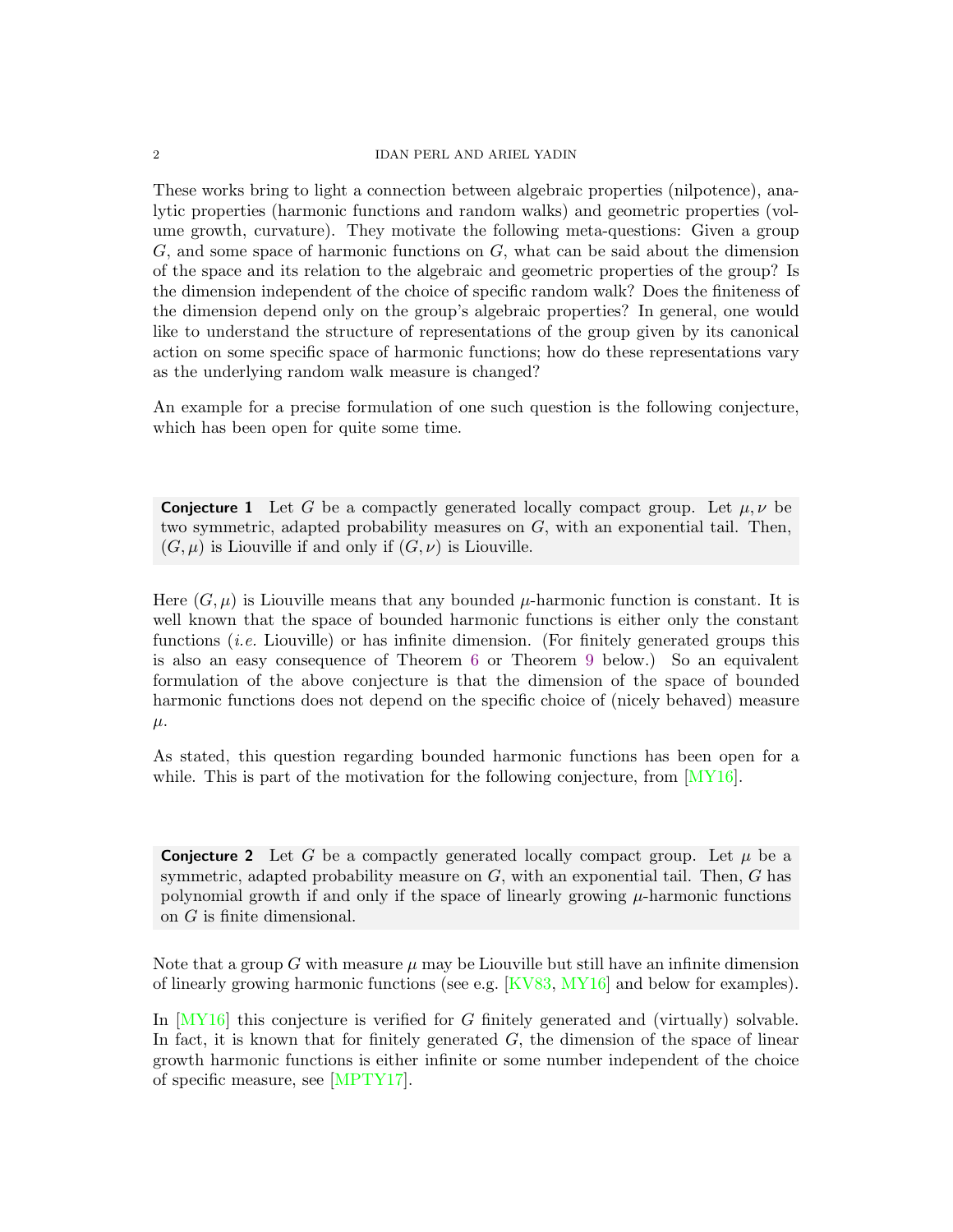#### 2 IDAN PERL AND ARIEL YADIN

These works bring to light a connection between algebraic properties (nilpotence), analytic properties (harmonic functions and random walks) and geometric properties (volume growth, curvature). They motivate the following meta-questions: Given a group G, and some space of harmonic functions on G, what can be said about the dimension of the space and its relation to the algebraic and geometric properties of the group? Is the dimension independent of the choice of specific random walk? Does the finiteness of the dimension depend only on the group's algebraic properties? In general, one would like to understand the structure of representations of the group given by its canonical action on some specific space of harmonic functions; how do these representations vary as the underlying random walk measure is changed?

An example for a precise formulation of one such question is the following conjecture, which has been open for quite some time.

**Conjecture 1** Let G be a compactly generated locally compact group. Let  $\mu, \nu$  be two symmetric, adapted probability measures on  $G$ , with an exponential tail. Then,  $(G, \mu)$  is Liouville if and only if  $(G, \nu)$  is Liouville.

Here  $(G, \mu)$  is Liouville means that any bounded  $\mu$ -harmonic function is constant. It is well known that the space of bounded harmonic functions is either only the constant functions *(i.e.* Liouville) or has infinite dimension. (For finitely generated groups this is also an easy consequence of Theorem [6](#page-5-0) or Theorem [9](#page-6-0) below.) So an equivalent formulation of the above conjecture is that the dimension of the space of bounded harmonic functions does not depend on the specific choice of (nicely behaved) measure  $\mu$ .

As stated, this question regarding bounded harmonic functions has been open for a while. This is part of the motivation for the following conjecture, from [\[MY16\]](#page-17-10).

<span id="page-1-0"></span>**Conjecture 2** Let G be a compactly generated locally compact group. Let  $\mu$  be a symmetric, adapted probability measure on  $G$ , with an exponential tail. Then,  $G$  has polynomial growth if and only if the space of linearly growing  $\mu$ -harmonic functions on G is finite dimensional.

Note that a group G with measure  $\mu$  may be Liouville but still have an infinite dimension of linearly growing harmonic functions (see e.g. [\[KV83,](#page-17-2) [MY16\]](#page-17-10) and below for examples).

In [\[MY16\]](#page-17-10) this conjecture is verified for G finitely generated and (virtually) solvable. In fact, it is known that for finitely generated  $G$ , the dimension of the space of linear growth harmonic functions is either infinite or some number independent of the choice of specific measure, see [\[MPTY17\]](#page-17-11).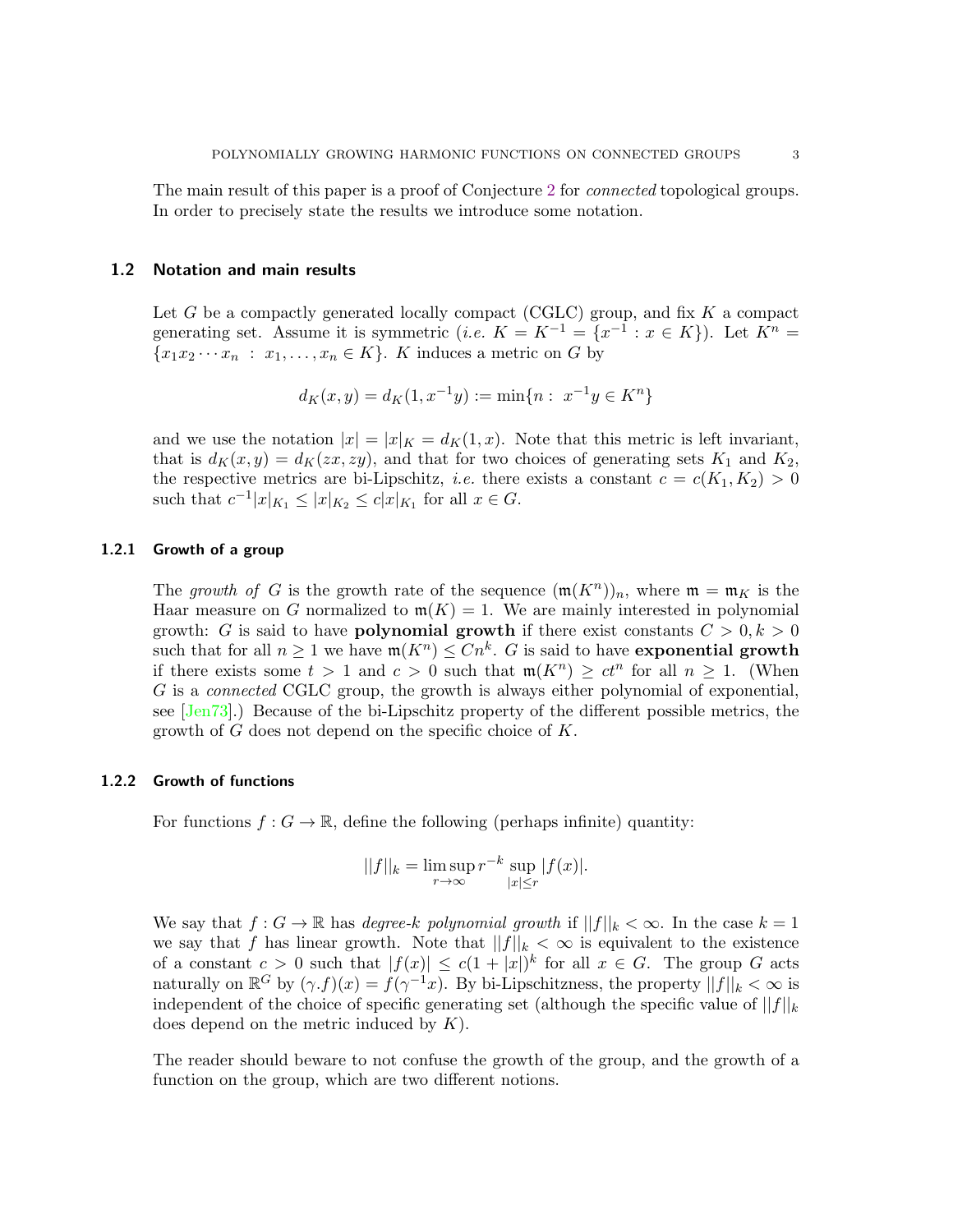The main result of this paper is a proof of Conjecture [2](#page-1-0) for *connected* topological groups. In order to precisely state the results we introduce some notation.

#### 1.2 Notation and main results

Let G be a compactly generated locally compact (CGLC) group, and fix K a compact generating set. Assume it is symmetric (*i.e.*  $K = K^{-1} = \{x^{-1} : x \in K\}$ ). Let  $K^n =$  ${x_1x_2 \cdots x_n : x_1, \ldots, x_n \in K}$ . K induces a metric on G by

$$
d_K(x, y) = d_K(1, x^{-1}y) := \min\{n : x^{-1}y \in K^n\}
$$

and we use the notation  $|x| = |x|_K = d_K(1, x)$ . Note that this metric is left invariant, that is  $d_K(x, y) = d_K(zx, zy)$ , and that for two choices of generating sets  $K_1$  and  $K_2$ , the respective metrics are bi-Lipschitz, *i.e.* there exists a constant  $c = c(K_1, K_2) > 0$ such that  $c^{-1}|x|_{K_1} \le |x|_{K_2} \le c|x|_{K_1}$  for all  $x \in G$ .

### 1.2.1 Growth of a group

The growth of G is the growth rate of the sequence  $(\mathfrak{m}(K^n))_n$ , where  $\mathfrak{m} = \mathfrak{m}_K$  is the Haar measure on G normalized to  $m(K) = 1$ . We are mainly interested in polynomial growth: G is said to have **polynomial growth** if there exist constants  $C > 0, k > 0$ such that for all  $n \geq 1$  we have  $\mathfrak{m}(K^n) \leq Cn^k$ . G is said to have exponential growth if there exists some  $t > 1$  and  $c > 0$  such that  $\mathfrak{m}(K^n) \geq ct^n$  for all  $n \geq 1$ . (When G is a connected CGLC group, the growth is always either polynomial of exponential, see [\[Jen73\]](#page-17-12).) Because of the bi-Lipschitz property of the different possible metrics, the growth of G does not depend on the specific choice of K.

#### 1.2.2 Growth of functions

For functions  $f: G \to \mathbb{R}$ , define the following (perhaps infinite) quantity:

$$
||f||_{k} = \limsup_{r \to \infty} r^{-k} \sup_{|x| \le r} |f(x)|.
$$

We say that  $f: G \to \mathbb{R}$  has degree-k polynomial growth if  $||f||_k < \infty$ . In the case  $k = 1$ we say that f has linear growth. Note that  $||f||_k < \infty$  is equivalent to the existence of a constant  $c > 0$  such that  $|f(x)| \leq c(1+|x|)^k$  for all  $x \in G$ . The group G acts naturally on  $\mathbb{R}^G$  by  $(\gamma.f)(x) = f(\gamma^{-1}x)$ . By bi-Lipschitzness, the property  $||f||_k < \infty$  is independent of the choice of specific generating set (although the specific value of  $||f||_k$ does depend on the metric induced by  $K$ ).

The reader should beware to not confuse the growth of the group, and the growth of a function on the group, which are two different notions.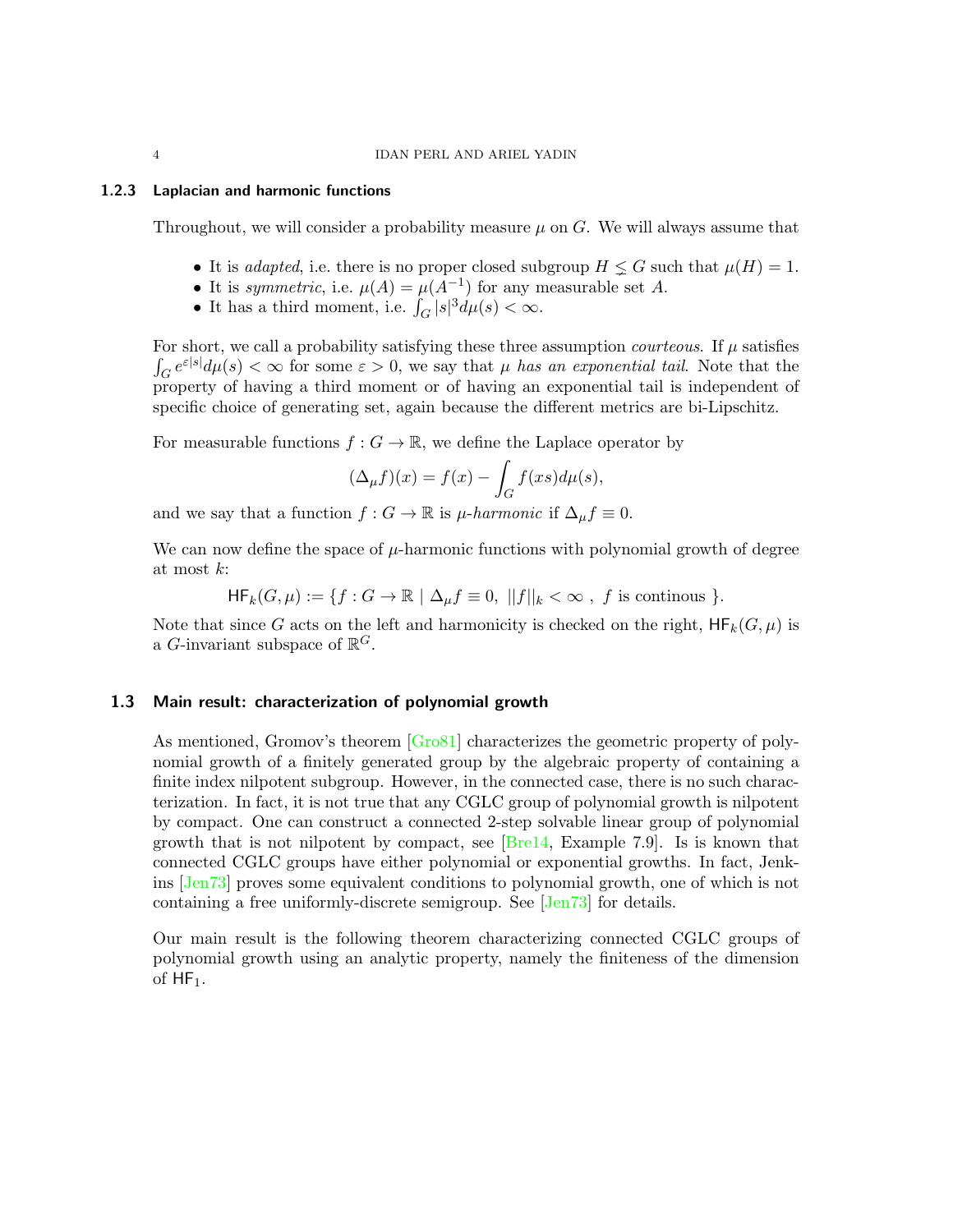#### 1.2.3 Laplacian and harmonic functions

Throughout, we will consider a probability measure  $\mu$  on G. We will always assume that

- It is *adapted*, i.e. there is no proper closed subgroup  $H \leq G$  such that  $\mu(H) = 1$ .
- It is symmetric, i.e.  $\mu(A) = \mu(A^{-1})$  for any measurable set A.
- It has a third moment, i.e.  $\int_G |s|^3 d\mu(s) < \infty$ .

For short, we call a probability satisfying these three assumption *courteous*. If  $\mu$  satisfies  $\int_G e^{\varepsilon |s|} d\mu(s) < \infty$  for some  $\varepsilon > 0$ , we say that  $\mu$  has an exponential tail. Note that the property of having a third moment or of having an exponential tail is independent of specific choice of generating set, again because the different metrics are bi-Lipschitz.

For measurable functions  $f: G \to \mathbb{R}$ , we define the Laplace operator by

$$
(\Delta_{\mu}f)(x) = f(x) - \int_{G} f(xs)d\mu(s),
$$

and we say that a function  $f : G \to \mathbb{R}$  is  $\mu$ -harmonic if  $\Delta_{\mu} f \equiv 0$ .

We can now define the space of  $\mu$ -harmonic functions with polynomial growth of degree at most k:

$$
\mathsf{HF}_k(G,\mu) := \{ f : G \to \mathbb{R} \mid \Delta_\mu f \equiv 0, \ ||f||_k < \infty \ , \ f \text{ is continuous } \}.
$$

<span id="page-3-0"></span>Note that since G acts on the left and harmonicity is checked on the right,  $HF_k(G, \mu)$  is a G-invariant subspace of  $\mathbb{R}^G$ .

### 1.3 Main result: characterization of polynomial growth

As mentioned, Gromov's theorem [\[Gro81\]](#page-17-9) characterizes the geometric property of polynomial growth of a finitely generated group by the algebraic property of containing a finite index nilpotent subgroup. However, in the connected case, there is no such characterization. In fact, it is not true that any CGLC group of polynomial growth is nilpotent by compact. One can construct a connected 2-step solvable linear group of polynomial growth that is not nilpotent by compact, see  $[Bre14, Example 7.9]$ . Is is known that connected CGLC groups have either polynomial or exponential growths. In fact, Jenkins [\[Jen73\]](#page-17-12) proves some equivalent conditions to polynomial growth, one of which is not containing a free uniformly-discrete semigroup. See [\[Jen73\]](#page-17-12) for details.

Our main result is the following theorem characterizing connected CGLC groups of polynomial growth using an analytic property, namely the finiteness of the dimension of  $HF_1$ .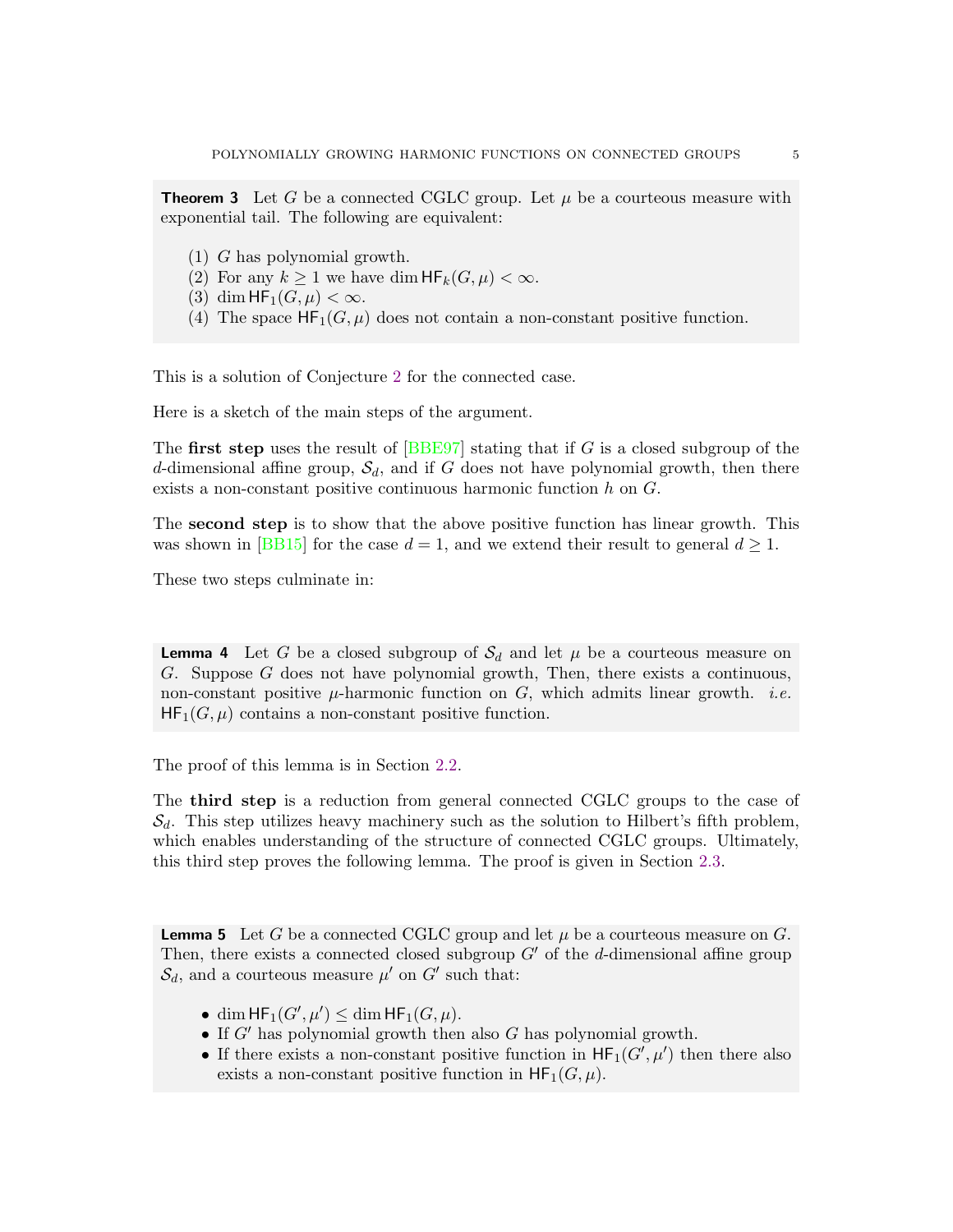<span id="page-4-0"></span>**Theorem 3** Let G be a connected CGLC group. Let  $\mu$  be a courteous measure with exponential tail. The following are equivalent:

- (1) G has polynomial growth.
- (2) For any  $k \geq 1$  we have dim  $HF_k(G, \mu) < \infty$ .
- (3) dim  $HF_1(G,\mu) < \infty$ .
- (4) The space  $HF_1(G, \mu)$  does not contain a non-constant positive function.

This is a solution of Conjecture [2](#page-1-0) for the connected case.

Here is a sketch of the main steps of the argument.

The first step uses the result of [\[BBE97\]](#page-17-14) stating that if  $G$  is a closed subgroup of the d-dimensional affine group,  $\mathcal{S}_d$ , and if G does not have polynomial growth, then there exists a non-constant positive continuous harmonic function h on G.

The second step is to show that the above positive function has linear growth. This was shown in [\[BB15\]](#page-17-15) for the case  $d = 1$ , and we extend their result to general  $d \geq 1$ .

These two steps culminate in:

<span id="page-4-2"></span>**Lemma 4** Let G be a closed subgroup of  $\mathcal{S}_d$  and let  $\mu$  be a courteous measure on G. Suppose G does not have polynomial growth, Then, there exists a continuous, non-constant positive  $\mu$ -harmonic function on G, which admits linear growth. *i.e.*  $HF_1(G, \mu)$  contains a non-constant positive function.

The proof of this lemma is in Section [2.2.](#page-9-0)

The third step is a reduction from general connected CGLC groups to the case of  $\mathcal{S}_d$ . This step utilizes heavy machinery such as the solution to Hilbert's fifth problem, which enables understanding of the structure of connected CGLC groups. Ultimately, this third step proves the following lemma. The proof is given in Section [2.3.](#page-11-0)

<span id="page-4-1"></span>**Lemma 5** Let G be a connected CGLC group and let  $\mu$  be a courteous measure on G. Then, there exists a connected closed subgroup  $G'$  of the d-dimensional affine group  $\mathcal{S}_d$ , and a courteous measure  $\mu'$  on  $G'$  such that:

- dim  $HF_1(G',\mu') \le$  dim  $HF_1(G,\mu)$ .
- If  $G'$  has polynomial growth then also  $G$  has polynomial growth.
- If there exists a non-constant positive function in  $HF_1(G',\mu')$  then there also exists a non-constant positive function in  $HF_1(G, \mu)$ .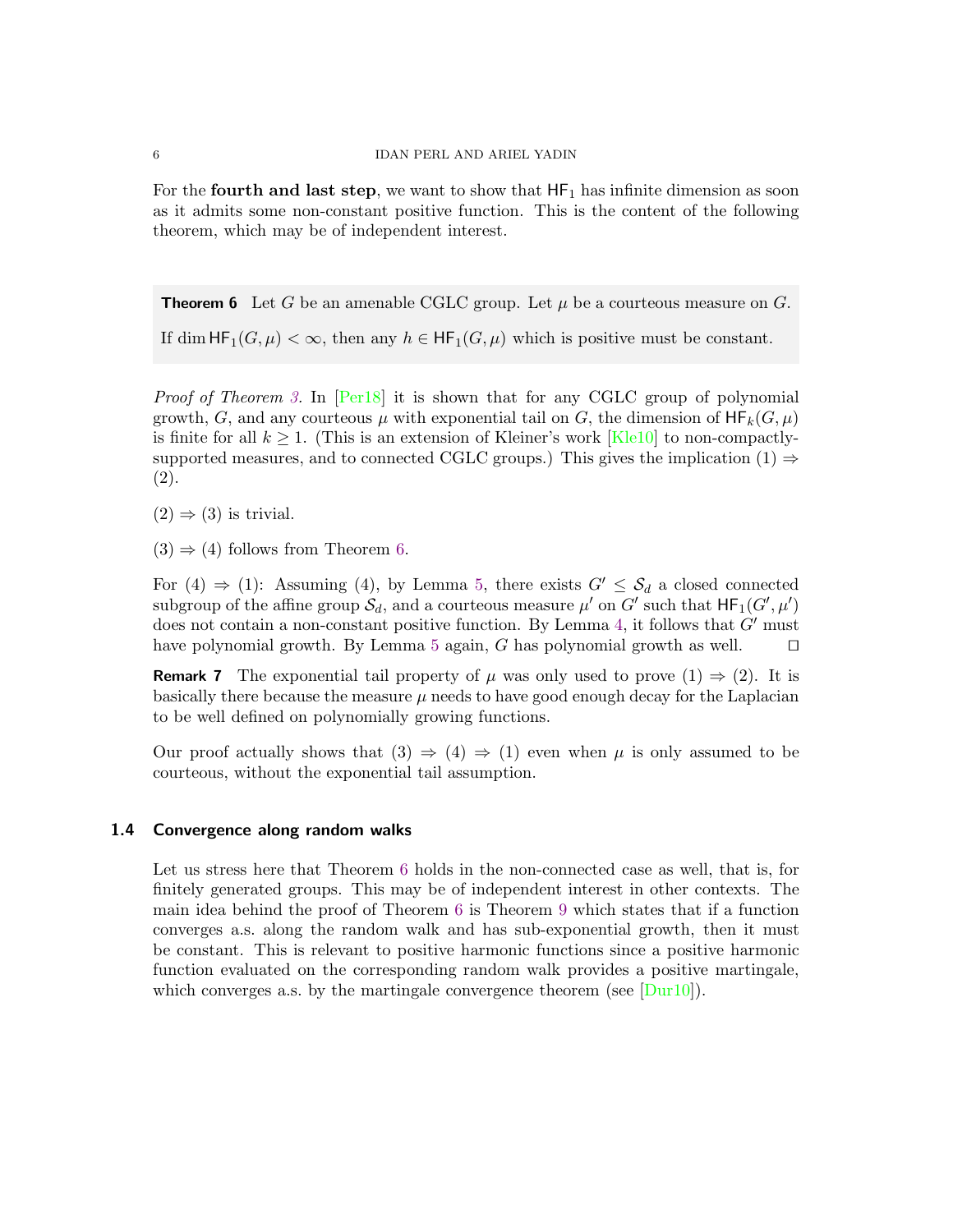For the **fourth and last step**, we want to show that  $HF_1$  has infinite dimension as soon as it admits some non-constant positive function. This is the content of the following theorem, which may be of independent interest.

<span id="page-5-0"></span>**Theorem 6** Let G be an amenable CGLC group. Let  $\mu$  be a courteous measure on G.

If dim  $HF_1(G, \mu) < \infty$ , then any  $h \in HF_1(G, \mu)$  which is positive must be constant.

Proof of Theorem [3.](#page-4-0) In [\[Per18\]](#page-17-16) it is shown that for any CGLC group of polynomial growth, G, and any courteous  $\mu$  with exponential tail on G, the dimension of  $HF_k(G, \mu)$ is finite for all  $k > 1$ . (This is an extension of Kleiner's work [\[Kle10\]](#page-17-8) to non-compactlysupported measures, and to connected CGLC groups.) This gives the implication (1)  $\Rightarrow$ (2).

 $(2) \Rightarrow (3)$  is trivial.

 $(3) \Rightarrow (4)$  follows from Theorem [6.](#page-5-0)

For  $(4) \Rightarrow (1)$ : Assuming  $(4)$ , by Lemma [5,](#page-4-1) there exists  $G' \leq S_d$  a closed connected subgroup of the affine group  $\mathcal{S}_d$ , and a courteous measure  $\mu'$  on  $G'$  such that  $\mathsf{HF}_1(G',\mu')$ does not contain a non-constant positive function. By Lemma [4,](#page-4-2) it follows that  $G'$  must have polynomial growth. By Lemma [5](#page-4-1) again, G has polynomial growth as well.  $□$ 

**Remark 7** The exponential tail property of  $\mu$  was only used to prove  $(1) \Rightarrow (2)$ . It is basically there because the measure  $\mu$  needs to have good enough decay for the Laplacian to be well defined on polynomially growing functions.

Our proof actually shows that  $(3) \Rightarrow (4) \Rightarrow (1)$  even when  $\mu$  is only assumed to be courteous, without the exponential tail assumption.

### 1.4 Convergence along random walks

Let us stress here that Theorem [6](#page-5-0) holds in the non-connected case as well, that is, for finitely generated groups. This may be of independent interest in other contexts. The main idea behind the proof of Theorem [6](#page-5-0) is Theorem [9](#page-6-0) which states that if a function converges a.s. along the random walk and has sub-exponential growth, then it must be constant. This is relevant to positive harmonic functions since a positive harmonic function evaluated on the corresponding random walk provides a positive martingale, which converges a.s. by the martingale convergence theorem (see [\[Dur10\]](#page-17-17)).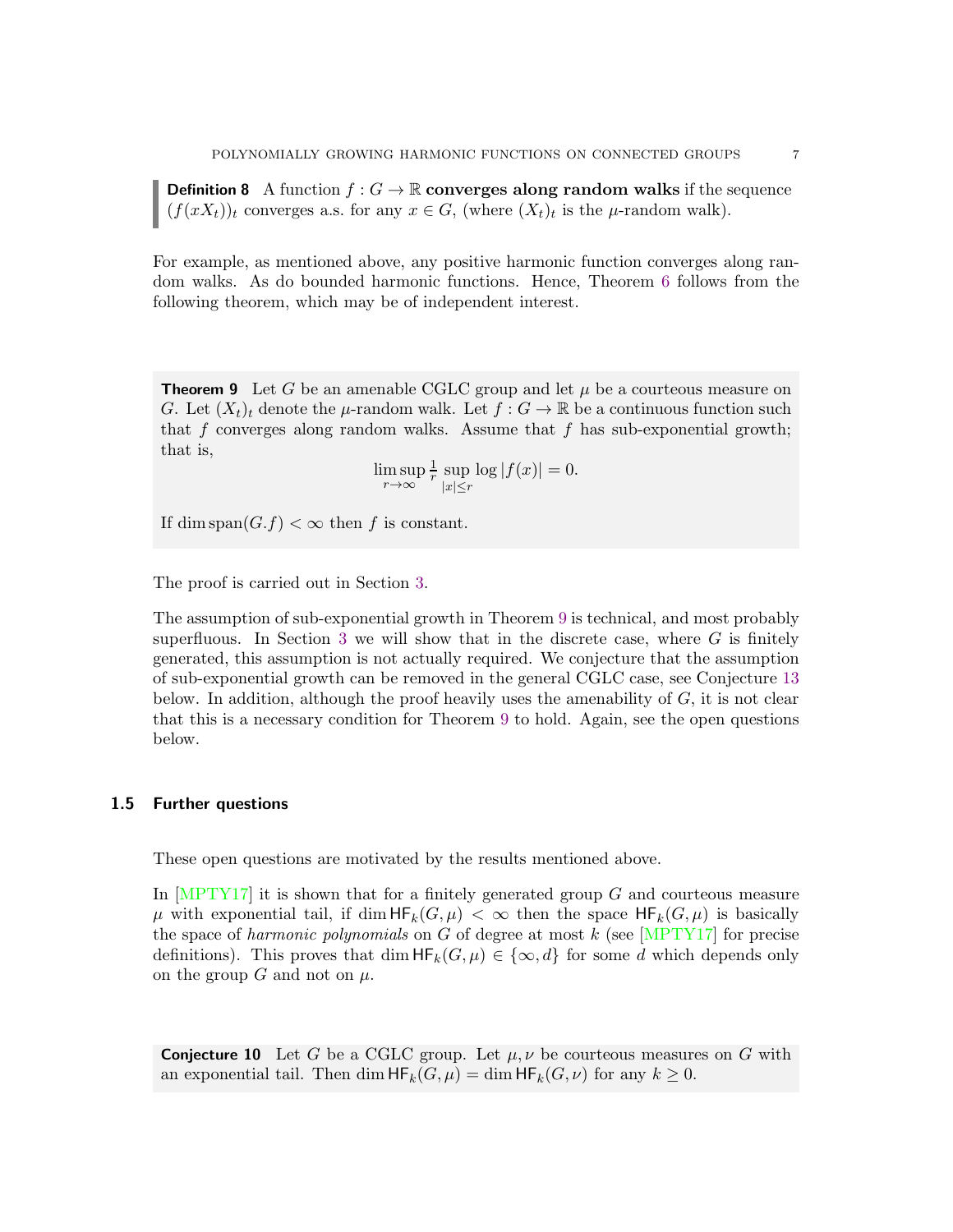**Definition 8** A function  $f : G \to \mathbb{R}$  converges along random walks if the sequence  $(f(xX_t))_t$  converges a.s. for any  $x \in G$ , (where  $(X_t)_t$  is the  $\mu$ -random walk).

For example, as mentioned above, any positive harmonic function converges along random walks. As do bounded harmonic functions. Hence, Theorem [6](#page-5-0) follows from the following theorem, which may be of independent interest.

<span id="page-6-0"></span>**Theorem 9** Let G be an amenable CGLC group and let  $\mu$  be a courteous measure on G. Let  $(X_t)_t$  denote the  $\mu$ -random walk. Let  $f: G \to \mathbb{R}$  be a continuous function such that f converges along random walks. Assume that f has sub-exponential growth; that is,

> $\limsup_{r\to\infty}$ 1  $\frac{1}{r}$  sup  $|x| \leq r$  $\log |f(x)| = 0.$

If dim span $(G.f) < \infty$  then f is constant.

The proof is carried out in Section [3.](#page-13-0)

The assumption of sub-exponential growth in Theorem [9](#page-6-0) is technical, and most probably superfluous. In Section [3](#page-13-0) we will show that in the discrete case, where  $G$  is finitely generated, this assumption is not actually required. We conjecture that the assumption of sub-exponential growth can be removed in the general CGLC case, see Conjecture [13](#page-8-0) below. In addition, although the proof heavily uses the amenability of  $G$ , it is not clear that this is a necessary condition for Theorem [9](#page-6-0) to hold. Again, see the open questions below.

#### 1.5 Further questions

These open questions are motivated by the results mentioned above.

In  $[MPTY17]$  it is shown that for a finitely generated group G and courteous measure  $\mu$  with exponential tail, if dim  $HF_k(G, \mu) < \infty$  then the space  $HF_k(G, \mu)$  is basically the space of harmonic polynomials on G of degree at most  $k$  (see [\[MPTY17\]](#page-17-11) for precise definitions). This proves that  $\dim HF_k(G, \mu) \in \{\infty, d\}$  for some d which depends only on the group G and not on  $\mu$ .

**Conjecture 10** Let G be a CGLC group. Let  $\mu, \nu$  be courteous measures on G with an exponential tail. Then dim  $HF_k(G,\mu) = \dim HF_k(G,\nu)$  for any  $k \geq 0$ .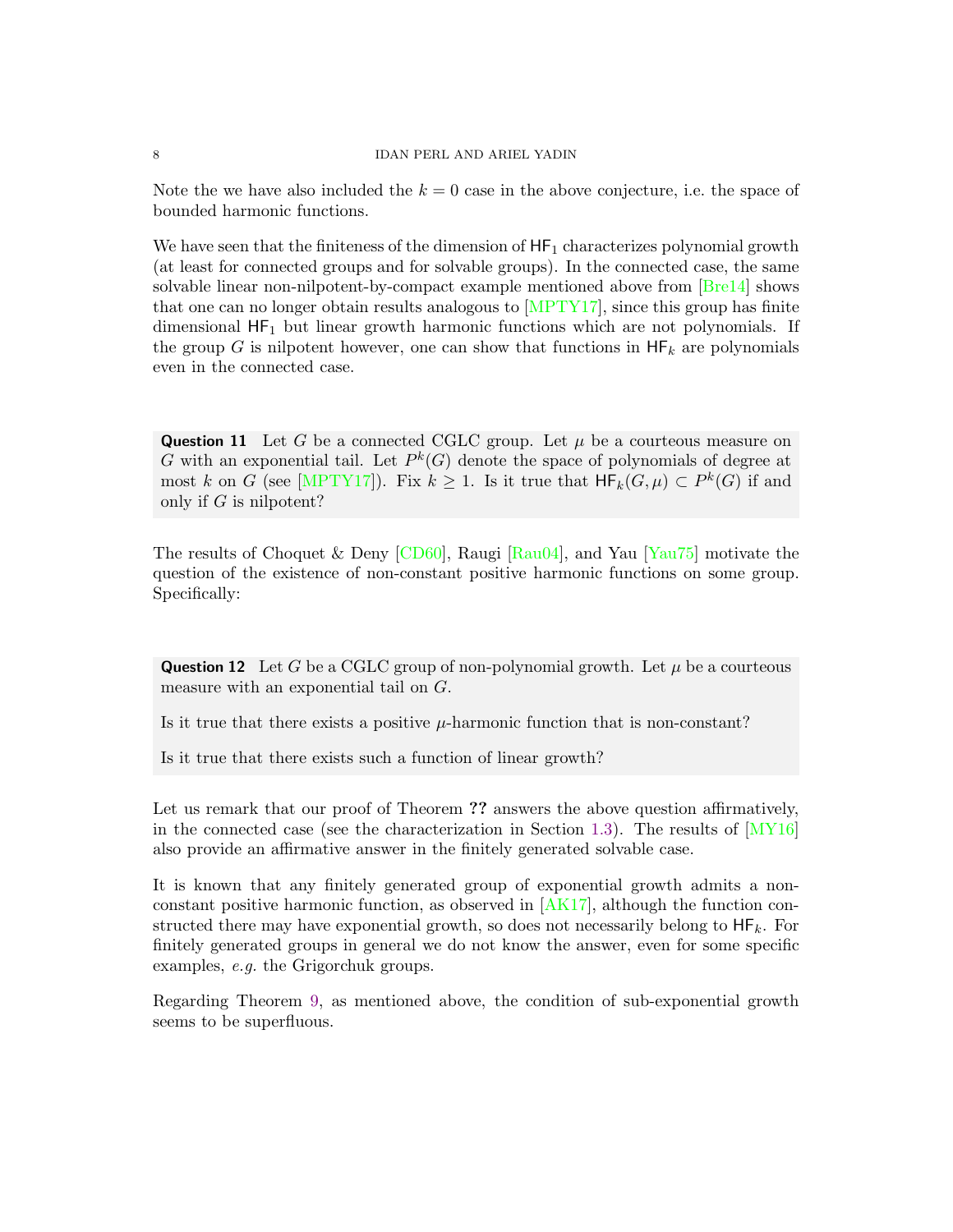Note the we have also included the  $k = 0$  case in the above conjecture, i.e. the space of bounded harmonic functions.

We have seen that the finiteness of the dimension of  $HF_1$  characterizes polynomial growth (at least for connected groups and for solvable groups). In the connected case, the same solvable linear non-nilpotent-by-compact example mentioned above from  $[Bre14]$  shows that one can no longer obtain results analogous to [\[MPTY17\]](#page-17-11), since this group has finite dimensional  $HF_1$  but linear growth harmonic functions which are not polynomials. If the group G is nilpotent however, one can show that functions in  $HF_k$  are polynomials even in the connected case.

**Question 11** Let G be a connected CGLC group. Let  $\mu$  be a courteous measure on G with an exponential tail. Let  $P^k(G)$  denote the space of polynomials of degree at most k on G (see [\[MPTY17\]](#page-17-11)). Fix  $k \geq 1$ . Is it true that  $\mathsf{HF}_k(G,\mu) \subset P^k(G)$  if and only if G is nilpotent?

The results of Choquet & Deny [\[CD60\]](#page-17-4), Raugi [\[Rau04\]](#page-17-5), and Yau [\[Yau75\]](#page-17-6) motivate the question of the existence of non-constant positive harmonic functions on some group. Specifically:

**Question 12** Let G be a CGLC group of non-polynomial growth. Let  $\mu$  be a courteous measure with an exponential tail on G.

Is it true that there exists a positive  $\mu$ -harmonic function that is non-constant?

Is it true that there exists such a function of linear growth?

Let us remark that our proof of Theorem ?? answers the above question affirmatively, in the connected case (see the characterization in Section [1.3\)](#page-3-0). The results of  $[NY16]$ also provide an affirmative answer in the finitely generated solvable case.

It is known that any finitely generated group of exponential growth admits a nonconstant positive harmonic function, as observed in [\[AK17\]](#page-17-18), although the function constructed there may have exponential growth, so does not necessarily belong to  $HF_k$ . For finitely generated groups in general we do not know the answer, even for some specific examples, e.g. the Grigorchuk groups.

Regarding Theorem [9,](#page-6-0) as mentioned above, the condition of sub-exponential growth seems to be superfluous.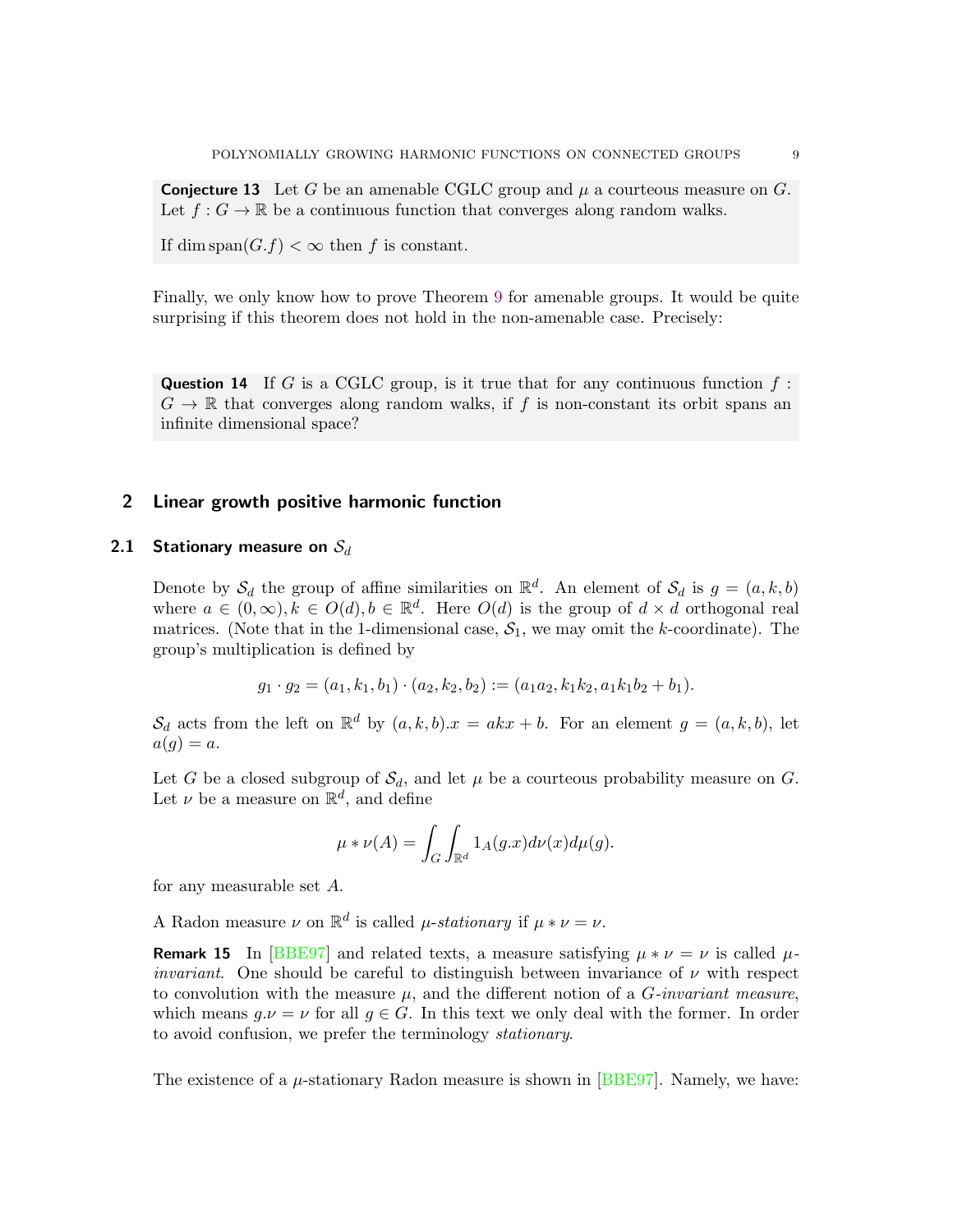<span id="page-8-0"></span>**Conjecture 13** Let G be an amenable CGLC group and  $\mu$  a courteous measure on G. Let  $f: G \to \mathbb{R}$  be a continuous function that converges along random walks.

If dim span $(G.f) < \infty$  then f is constant.

Finally, we only know how to prove Theorem [9](#page-6-0) for amenable groups. It would be quite surprising if this theorem does not hold in the non-amenable case. Precisely:

**Question 14** If G is a CGLC group, is it true that for any continuous function  $f$ :  $G \to \mathbb{R}$  that converges along random walks, if f is non-constant its orbit spans an infinite dimensional space?

### 2 Linear growth positive harmonic function

### 2.1 Stationary measure on  $S_d$

Denote by  $S_d$  the group of affine similarities on  $\mathbb{R}^d$ . An element of  $S_d$  is  $g = (a, k, b)$ where  $a \in (0, \infty), k \in O(d), b \in \mathbb{R}^d$ . Here  $O(d)$  is the group of  $d \times d$  orthogonal real matrices. (Note that in the 1-dimensional case,  $S_1$ , we may omit the k-coordinate). The group's multiplication is defined by

$$
g_1 \cdot g_2 = (a_1, k_1, b_1) \cdot (a_2, k_2, b_2) := (a_1 a_2, k_1 k_2, a_1 k_1 b_2 + b_1).
$$

 $\mathcal{S}_d$  acts from the left on  $\mathbb{R}^d$  by  $(a, k, b).x = akx + b$ . For an element  $g = (a, k, b)$ , let  $a(g) = a.$ 

Let G be a closed subgroup of  $\mathcal{S}_d$ , and let  $\mu$  be a courteous probability measure on G. Let  $\nu$  be a measure on  $\mathbb{R}^d$ , and define

$$
\mu * \nu(A) = \int_G \int_{\mathbb{R}^d} 1_A(g.x) d\nu(x) d\mu(g).
$$

for any measurable set A.

A Radon measure  $\nu$  on  $\mathbb{R}^d$  is called  $\mu$ -stationary if  $\mu * \nu = \nu$ .

**Remark 15** In [\[BBE97\]](#page-17-14) and related texts, a measure satisfying  $\mu * \nu = \nu$  is called  $\mu$ *invariant.* One should be careful to distinguish between invariance of  $\nu$  with respect to convolution with the measure  $\mu$ , and the different notion of a *G*-invariant measure, which means  $q.\nu = \nu$  for all  $q \in G$ . In this text we only deal with the former. In order to avoid confusion, we prefer the terminology stationary.

The existence of a  $\mu$ -stationary Radon measure is shown in [\[BBE97\]](#page-17-14). Namely, we have: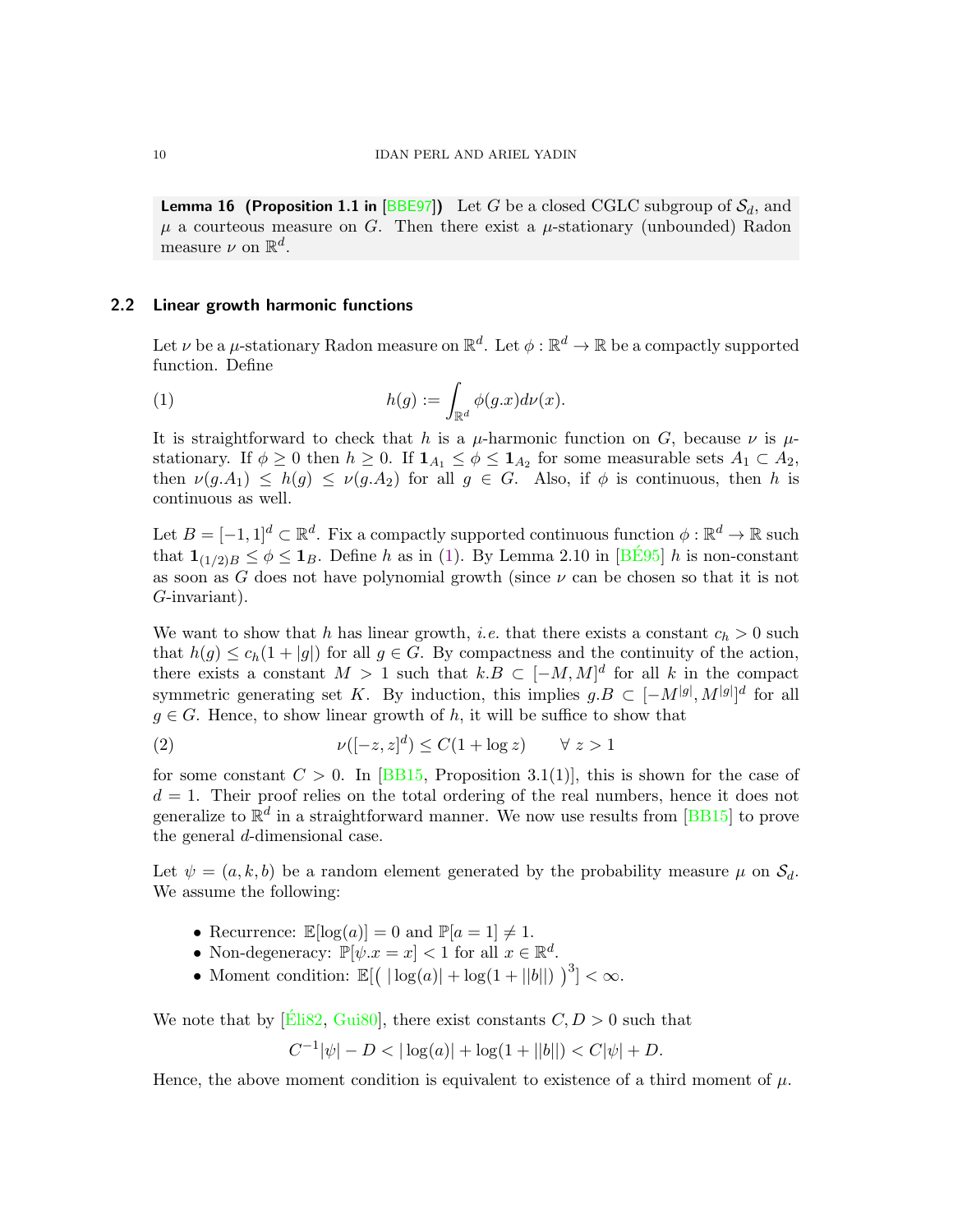**Lemma 16 (Proposition 1.1 in [\[BBE97\]](#page-17-14))** Let G be a closed CGLC subgroup of  $S_d$ , and  $\mu$  a courteous measure on G. Then there exist a  $\mu$ -stationary (unbounded) Radon measure  $\nu$  on  $\mathbb{R}^d$ .

### <span id="page-9-0"></span>2.2 Linear growth harmonic functions

Let  $\nu$  be a  $\mu$ -stationary Radon measure on  $\mathbb{R}^d$ . Let  $\phi : \mathbb{R}^d \to \mathbb{R}$  be a compactly supported function. Define

<span id="page-9-1"></span>(1) 
$$
h(g) := \int_{\mathbb{R}^d} \phi(g.x) d\nu(x).
$$

It is straightforward to check that h is a  $\mu$ -harmonic function on G, because  $\nu$  is  $\mu$ stationary. If  $\phi \geq 0$  then  $h \geq 0$ . If  $\mathbf{1}_{A_1} \leq \phi \leq \mathbf{1}_{A_2}$  for some measurable sets  $A_1 \subset A_2$ , then  $\nu(g.A_1) \leq h(g) \leq \nu(g.A_2)$  for all  $g \in G$ . Also, if  $\phi$  is continuous, then h is continuous as well.

Let  $B = [-1, 1]^d \subset \mathbb{R}^d$ . Fix a compactly supported continuous function  $\phi : \mathbb{R}^d \to \mathbb{R}$  such that  $\mathbf{1}_{(1/2)B} \leq \phi \leq \mathbf{1}_B$ . Define h as in [\(1\)](#page-9-1). By Lemma 2.10 in [\[BE95](#page-17-19)] h is non-constant as soon as G does not have polynomial growth (since  $\nu$  can be chosen so that it is not G-invariant).

We want to show that h has linear growth, *i.e.* that there exists a constant  $c_h > 0$  such that  $h(g) \leq c_h(1+|g|)$  for all  $g \in \tilde{G}$ . By compactness and the continuity of the action, there exists a constant  $M > 1$  such that  $k.B \subset [-M, M]^d$  for all k in the compact symmetric generating set K. By induction, this implies  $g.B \subset [-M^{[g]}, M^{[g]}]^d$  for all  $q \in G$ . Hence, to show linear growth of h, it will be suffice to show that

<span id="page-9-2"></span>(2) 
$$
\nu([-z, z]^d) \le C(1 + \log z) \quad \forall z > 1
$$

for some constant  $C > 0$ . In [\[BB15,](#page-17-15) Proposition 3.1(1)], this is shown for the case of  $d = 1$ . Their proof relies on the total ordering of the real numbers, hence it does not generalize to  $\mathbb{R}^d$  in a straightforward manner. We now use results from [\[BB15\]](#page-17-15) to prove the general d-dimensional case.

Let  $\psi = (a, k, b)$  be a random element generated by the probability measure  $\mu$  on  $\mathcal{S}_{d}$ . We assume the following:

- Recurrence:  $\mathbb{E}[\log(a)] = 0$  and  $\mathbb{P}[a = 1] \neq 1$ .
- Non-degeneracy:  $\mathbb{P}[\psi \cdot x = x] < 1$  for all  $x \in \mathbb{R}^d$ .
- Moment condition:  $\mathbb{E}[(\,|\log(a)| + \log(1+||b||)\,)^3] < \infty$ .

We note that by  $[\text{Eli82}, \text{Gui80}]$ , there exist constants  $C, D > 0$  such that

$$
C^{-1}|\psi| - D < |\log(a)| + \log(1 + ||b||) < C|\psi| + D.
$$

Hence, the above moment condition is equivalent to existence of a third moment of  $\mu$ .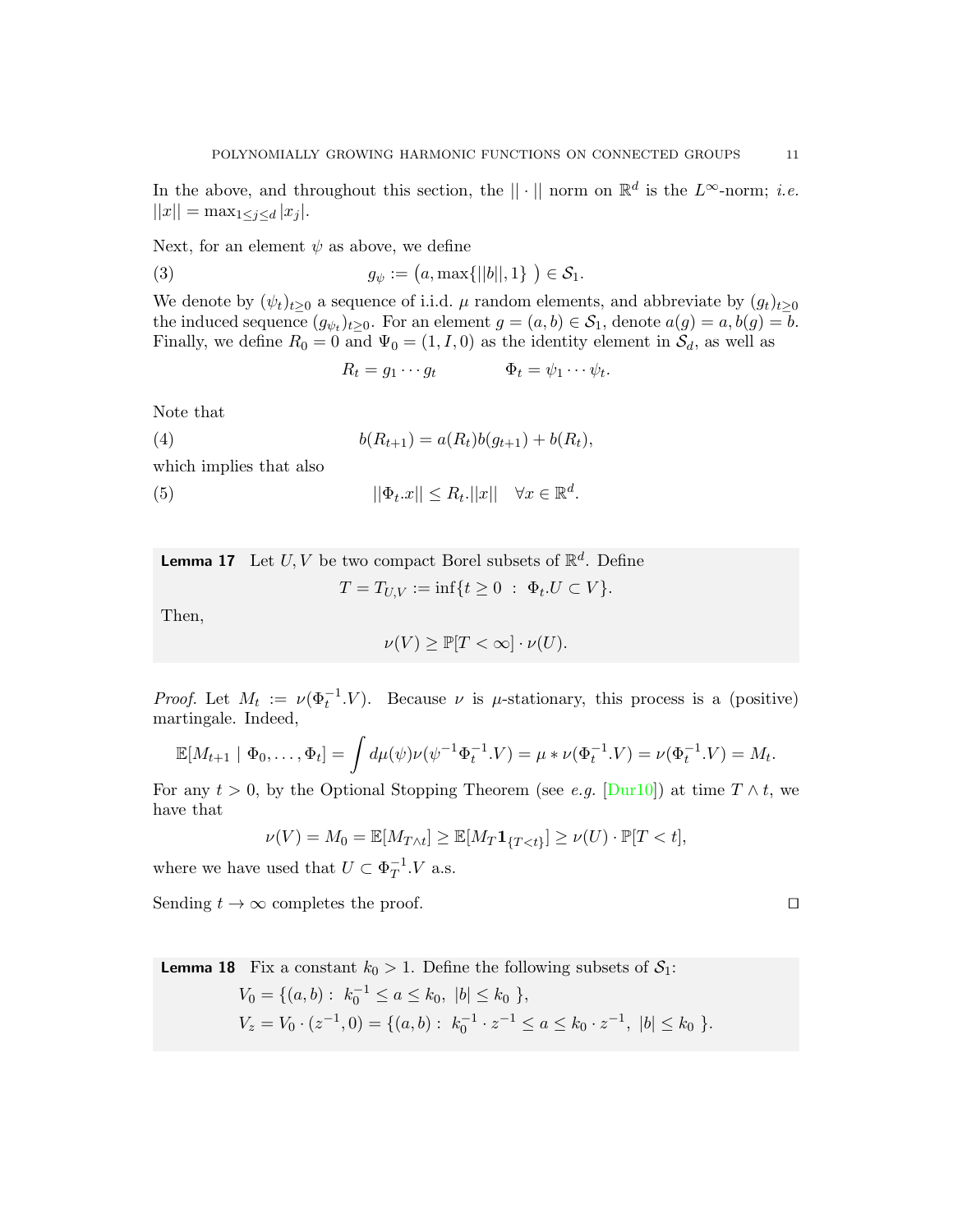In the above, and throughout this section, the  $\|\cdot\|$  norm on  $\mathbb{R}^d$  is the  $L^{\infty}$ -norm; *i.e.*  $||x|| = \max_{1 \leq j \leq d} |x_j|$ .

Next, for an element  $\psi$  as above, we define

(3)  $g_{\psi} := (a, \max\{||b||, 1\}) \in S_1.$ 

We denote by  $(\psi_t)_{t\geq 0}$  a sequence of i.i.d.  $\mu$  random elements, and abbreviate by  $(g_t)_{t\geq 0}$ the induced sequence  $(g_{\psi_t})_{t\geq 0}$ . For an element  $g = (a, b) \in S_1$ , denote  $a(g) = a, b(g) = b$ . Finally, we define  $R_0 = 0$  and  $\Psi_0 = (1, I, 0)$  as the identity element in  $S_d$ , as well as

 $R_t = g_1 \cdots g_t \qquad \qquad \Phi_t = \psi_1 \cdots \psi_t.$ 

Note that

(4) 
$$
b(R_{t+1}) = a(R_t)b(g_{t+1}) + b(R_t),
$$

which implies that also

<span id="page-10-0"></span>(5)  $||\Phi_t.x|| \leq R_t ||x|| \quad \forall x \in \mathbb{R}^d.$ 

<span id="page-10-1"></span>**Lemma 17** Let  $U, V$  be two compact Borel subsets of  $\mathbb{R}^d$ . Define  $T = T_{U,V} := \inf\{t \ge 0 \; : \; \Phi_t.U \subset V\}.$ 

Then,

$$
\nu(V) \ge \mathbb{P}[T < \infty] \cdot \nu(U).
$$

*Proof.* Let  $M_t := \nu(\Phi_t^{-1} \cdot V)$ . Because  $\nu$  is  $\mu$ -stationary, this process is a (positive) martingale. Indeed,

$$
\mathbb{E}[M_{t+1} | \Phi_0, \dots, \Phi_t] = \int d\mu(\psi) \nu(\psi^{-1} \Phi_t^{-1} . V) = \mu * \nu(\Phi_t^{-1} . V) = \nu(\Phi_t^{-1} . V) = M_t.
$$

For any  $t > 0$ , by the Optional Stopping Theorem (see *e.g.* [\[Dur10\]](#page-17-17)) at time  $T \wedge t$ , we have that

$$
\nu(V) = M_0 = \mathbb{E}[M_{T \wedge t}] \ge \mathbb{E}[M_T \mathbf{1}_{\{T < t\}}] \ge \nu(U) \cdot \mathbb{P}[T < t],
$$

where we have used that  $U \subset \Phi_T^{-1}$  V a.s.

Sending  $t \to \infty$  completes the proof. □

<span id="page-10-2"></span>**Lemma 18** Fix a constant 
$$
k_0 > 1
$$
. Define the following subsets of  $S_1$ :  
\n
$$
V_0 = \{(a, b) : k_0^{-1} \le a \le k_0, |b| \le k_0 \},
$$
\n
$$
V_z = V_0 \cdot (z^{-1}, 0) = \{(a, b) : k_0^{-1} \cdot z^{-1} \le a \le k_0 \cdot z^{-1}, |b| \le k_0 \}.
$$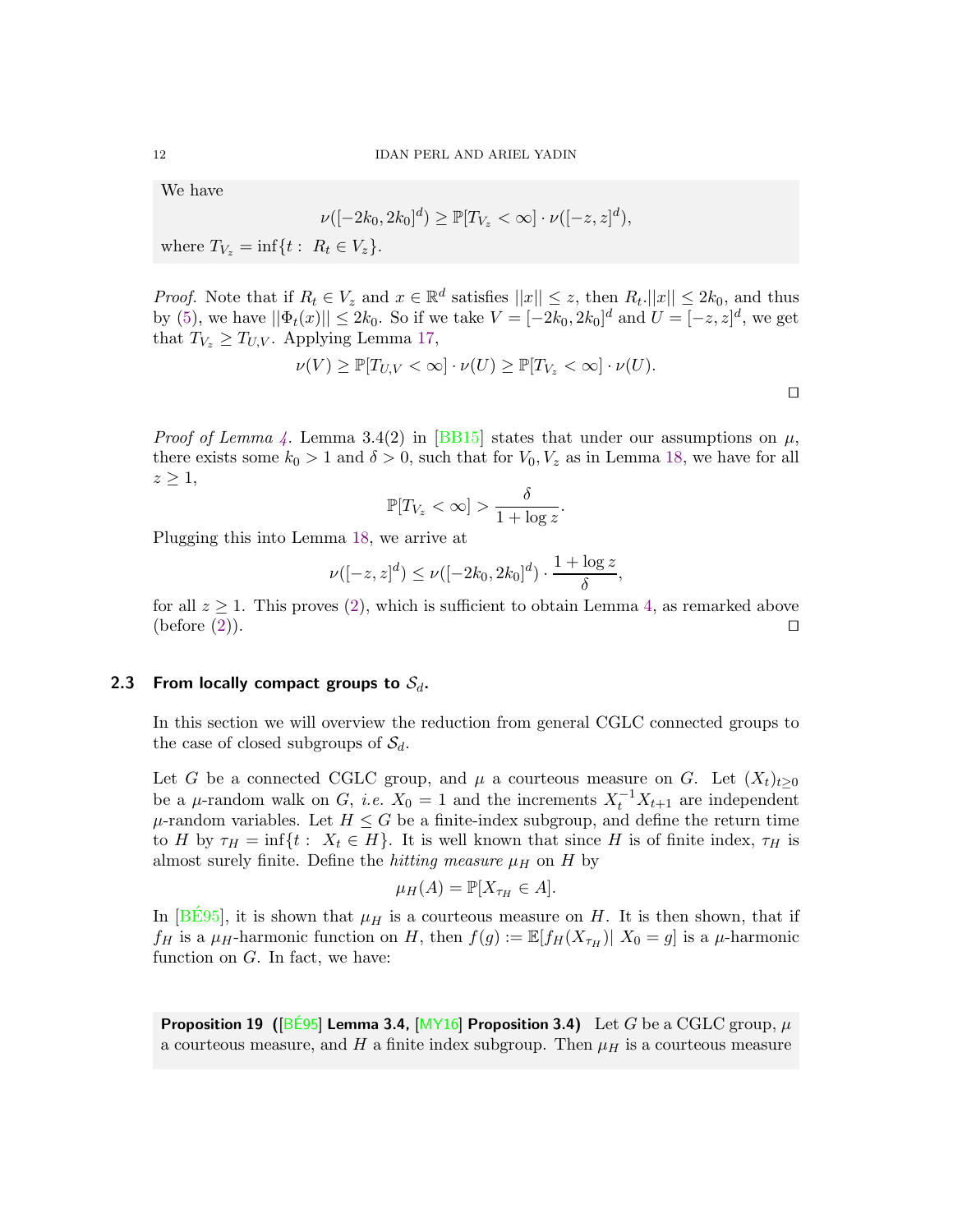We have

$$
\nu([-2k_0, 2k_0]^d) \geq \mathbb{P}[T_{V_z} < \infty] \cdot \nu([-z, z]^d),
$$

where  $T_{V_z} = \inf\{t : R_t \in V_z\}.$ 

*Proof.* Note that if  $R_t \in V_z$  and  $x \in \mathbb{R}^d$  satisfies  $||x|| \leq z$ , then  $R_t$ . $||x|| \leq 2k_0$ , and thus by [\(5\)](#page-10-0), we have  $||\Phi_t(x)|| \leq 2k_0$ . So if we take  $V = [-2k_0, 2k_0]^d$  and  $U = [-z, z]^d$ , we get that  $T_{V_z} \geq T_{U,V}$ . Applying Lemma [17,](#page-10-1)

$$
\nu(V) \geq \mathbb{P}[T_{U,V} < \infty] \cdot \nu(U) \geq \mathbb{P}[T_{V_z} < \infty] \cdot \nu(U).
$$

*Proof of Lemma [4.](#page-4-2)* Lemma 3.4(2) in [\[BB15\]](#page-17-15) states that under our assumptions on  $\mu$ , there exists some  $k_0 > 1$  and  $\delta > 0$ , such that for  $V_0, V_z$  as in Lemma [18,](#page-10-2) we have for all  $z \geq 1$ ,

$$
\mathbb{P}[T_{V_z} < \infty] > \frac{\delta}{1 + \log z}.
$$

Plugging this into Lemma [18,](#page-10-2) we arrive at

$$
\nu([-z, z]^d) \le \nu([-2k_0, 2k_0]^d) \cdot \frac{1 + \log z}{\delta},
$$

<span id="page-11-0"></span>for all  $z \geq 1$ . This proves [\(2\)](#page-9-2), which is sufficient to obtain Lemma [4,](#page-4-2) as remarked above (before  $(2)$ ). □

## 2.3 From locally compact groups to  $S_d$ .

In this section we will overview the reduction from general CGLC connected groups to the case of closed subgroups of  $S_d$ .

Let G be a connected CGLC group, and  $\mu$  a courteous measure on G. Let  $(X_t)_{t\geq0}$ be a  $\mu$ -random walk on G, *i.e.*  $X_0 = 1$  and the increments  $X_t^{-1} X_{t+1}$  are independent  $\mu$ -random variables. Let  $H \leq G$  be a finite-index subgroup, and define the return time to H by  $\tau_H = \inf\{t : X_t \in H\}$ . It is well known that since H is of finite index,  $\tau_H$  is almost surely finite. Define the *hitting measure*  $\mu$ <sub>H</sub> on H by

$$
\mu_H(A) = \mathbb{P}[X_{\tau_H} \in A].
$$

In  $[BES5]$ , it is shown that  $\mu_H$  is a courteous measure on H. It is then shown, that if  $f_H$  is a  $\mu$ <sub>H</sub>-harmonic function on H, then  $f(g) := \mathbb{E}[f_H(X_{\tau_H}) | X_0 = g]$  is a  $\mu$ -harmonic function on  $G$ . In fact, we have:

**Proposition 19 (** $\overline{BE95}$  Lemma 3.4,  $\overline{MY16}$  Proposition 3.4) Let G be a CGLC group,  $\mu$ a courteous measure, and  $H$  a finite index subgroup. Then  $\mu$ <sub>H</sub> is a courteous measure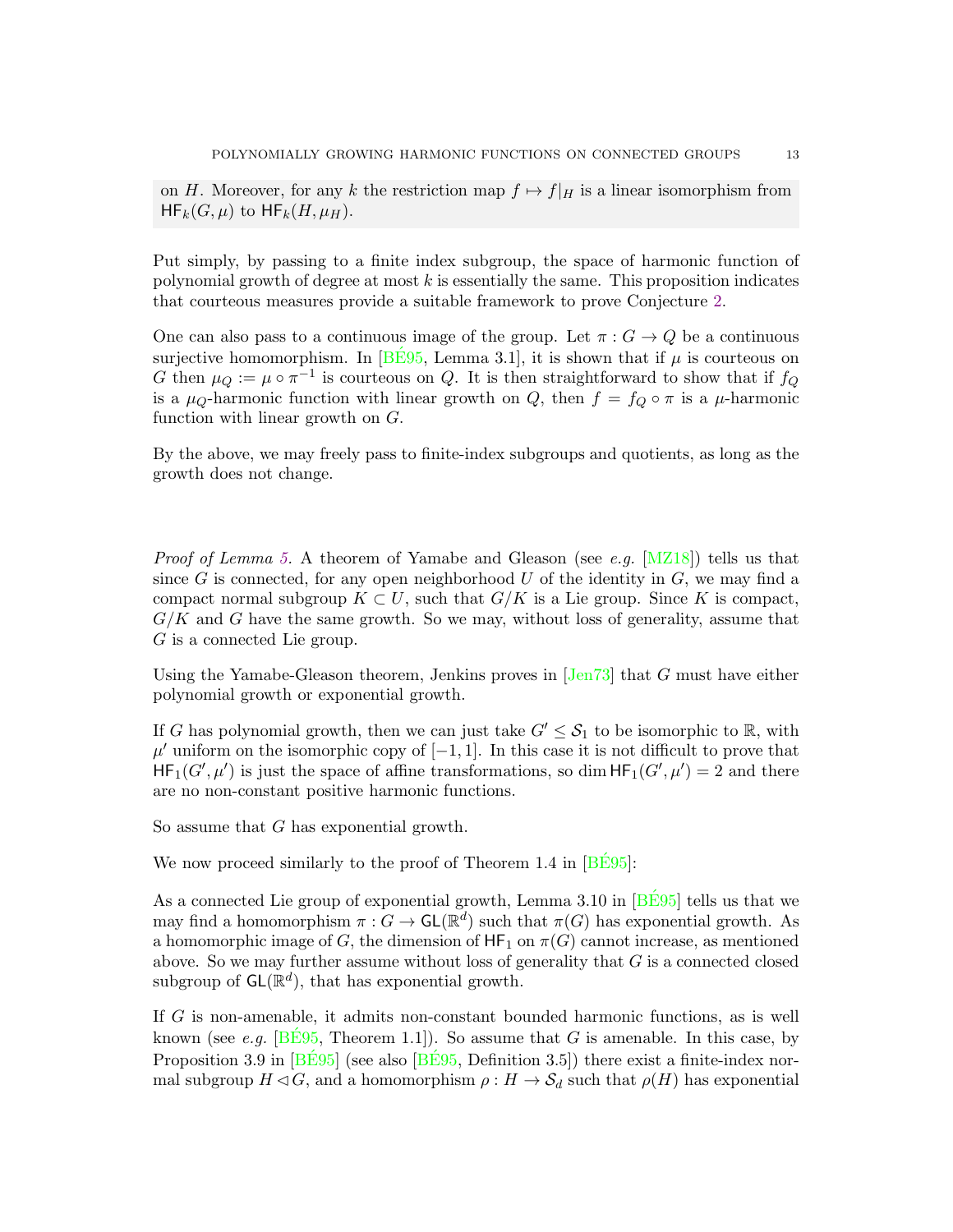on H. Moreover, for any k the restriction map  $f \mapsto f|_H$  is a linear isomorphism from  $HF_k(G, \mu)$  to  $HF_k(H, \mu)$ .

Put simply, by passing to a finite index subgroup, the space of harmonic function of polynomial growth of degree at most  $k$  is essentially the same. This proposition indicates that courteous measures provide a suitable framework to prove Conjecture [2.](#page-1-0)

One can also pass to a continuous image of the group. Let  $\pi: G \to Q$  be a continuous surjective homomorphism. In  $\left[\underline{B\dot{E}95}, \underline{L\dot{E}95}, \underline{L\dot{E}95}, \underline{L\dot{E}95}, \underline{L\dot{E}95}, \underline{L\dot{E}95}, \underline{L\dot{E}95}, \underline{L\dot{E}95}, \underline{L\dot{E}95}, \underline{L\dot{E}95}, \underline{L\dot{E}95}, \underline{L\dot{E}95}, \underline{L\dot{E}95}, \underline{L\dot{E}95}, \underline{L\dot{E}95}, \underline{L\dot{E}9$ G then  $\mu_Q := \mu \circ \pi^{-1}$  is courteous on Q. It is then straightforward to show that if  $f_Q$ is a  $\mu_Q$ -harmonic function with linear growth on Q, then  $f = f_Q \circ \pi$  is a  $\mu$ -harmonic function with linear growth on G.

By the above, we may freely pass to finite-index subgroups and quotients, as long as the growth does not change.

*Proof of Lemma [5.](#page-4-1)* A theorem of Yamabe and Gleason (see e.g.  $[MZ18]$ ) tells us that since G is connected, for any open neighborhood U of the identity in  $G$ , we may find a compact normal subgroup  $K \subset U$ , such that  $G/K$  is a Lie group. Since K is compact,  $G/K$  and G have the same growth. So we may, without loss of generality, assume that G is a connected Lie group.

Using the Yamabe-Gleason theorem, Jenkins proves in  $\text{[Jan73]}$  that G must have either polynomial growth or exponential growth.

If G has polynomial growth, then we can just take  $G' \leq S_1$  to be isomorphic to R, with  $\mu'$  uniform on the isomorphic copy of  $[-1,1]$ . In this case it is not difficult to prove that  $HF_1(G',\mu')$  is just the space of affine transformations, so dim  $HF_1(G',\mu')=2$  and there are no non-constant positive harmonic functions.

So assume that G has exponential growth.

We now proceed similarly to the proof of Theorem 1.4 in  $\sqrt{BES}$ :

As a connected Lie group of exponential growth, Lemma 3.10 in  $[\overline{\text{BÉ95}}]$  tells us that we may find a homomorphism  $\pi: G \to \mathsf{GL}(\mathbb{R}^d)$  such that  $\pi(G)$  has exponential growth. As a homomorphic image of G, the dimension of  $HF_1$  on  $\pi(G)$  cannot increase, as mentioned above. So we may further assume without loss of generality that  $G$  is a connected closed subgroup of  $\mathsf{GL}(\mathbb{R}^d)$ , that has exponential growth.

If G is non-amenable, it admits non-constant bounded harmonic functions, as is well known (see e.g.  $[\overline{\text{BE95}}]$ , Theorem 1.1.). So assume that G is amenable. In this case, by Proposition 3.9 in  $\overline{BES5}$  (see also  $\overline{BES5}$ , Definition 3.5) there exist a finite-index normal subgroup  $H \triangleleft G$ , and a homomorphism  $\rho : H \to \mathcal{S}_d$  such that  $\rho(H)$  has exponential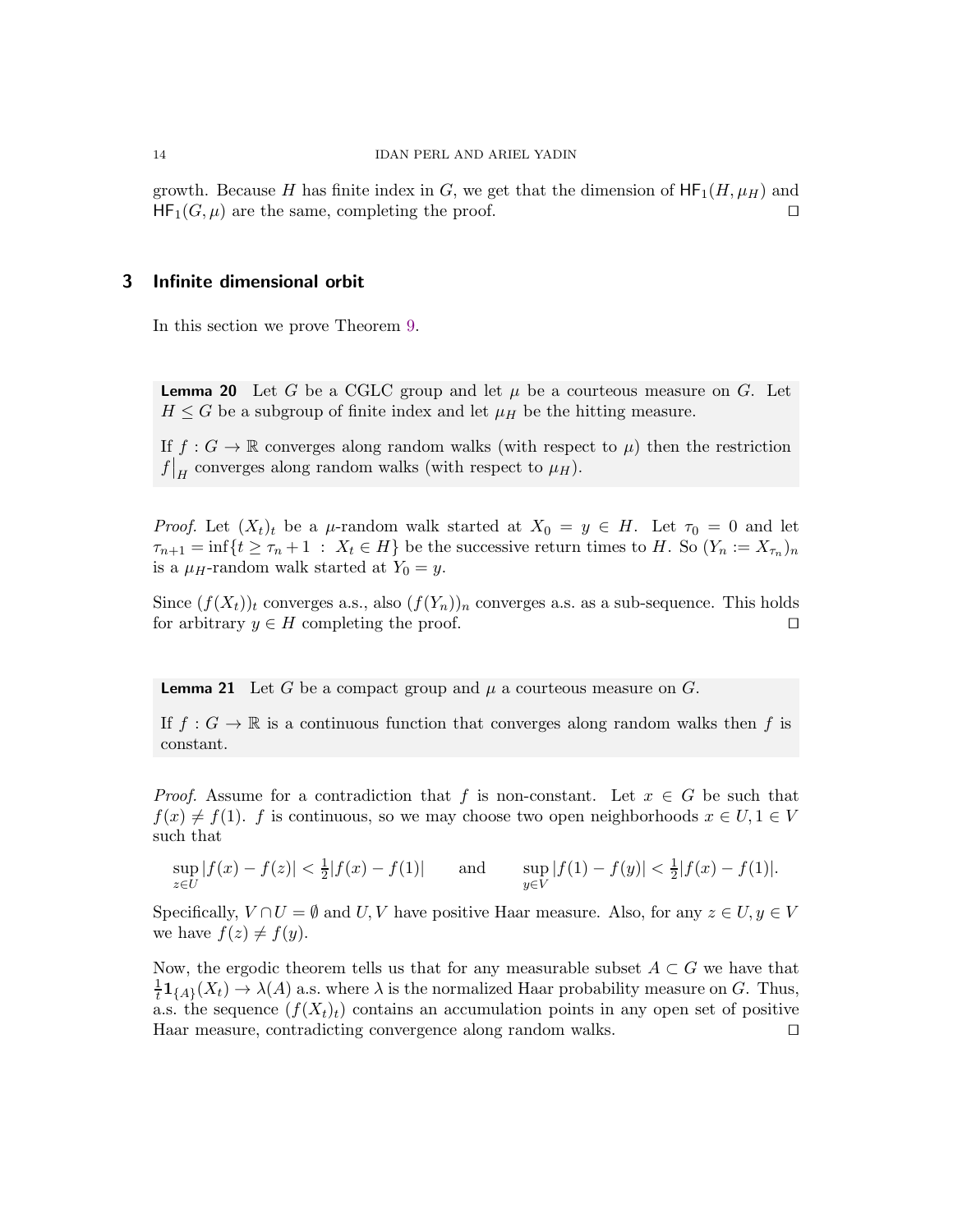growth. Because H has finite index in G, we get that the dimension of  $HF_1(H, \mu_H)$  and  $HF_1(G, \mu)$  are the same, completing the proof. □

# <span id="page-13-0"></span>3 Infinite dimensional orbit

In this section we prove Theorem [9.](#page-6-0)

<span id="page-13-2"></span>**Lemma 20** Let G be a CGLC group and let  $\mu$  be a courteous measure on G. Let  $H \leq G$  be a subgroup of finite index and let  $\mu_H$  be the hitting measure.

If  $f : G \to \mathbb{R}$  converges along random walks (with respect to  $\mu$ ) then the restriction  $f|_H$  converges along random walks (with respect to  $\mu_H$ ).

*Proof.* Let  $(X_t)_t$  be a  $\mu$ -random walk started at  $X_0 = y \in H$ . Let  $\tau_0 = 0$  and let  $\tau_{n+1} = \inf\{t \geq \tau_n + 1 : X_t \in H\}$  be the successive return times to H. So  $(Y_n := X_{\tau_n})_n$ is a  $\mu_H$ -random walk started at  $Y_0 = y$ .

Since  $(f(X_t))_t$  converges a.s., also  $(f(Y_n))_n$  converges a.s. as a sub-sequence. This holds for arbitrary  $y \in H$  completing the proof. □

<span id="page-13-1"></span>**Lemma 21** Let G be a compact group and  $\mu$  a courteous measure on G.

If  $f : G \to \mathbb{R}$  is a continuous function that converges along random walks then f is constant.

*Proof.* Assume for a contradiction that f is non-constant. Let  $x \in G$  be such that  $f(x) \neq f(1)$ . f is continuous, so we may choose two open neighborhoods  $x \in U, 1 \in V$ such that

$$
\sup_{z \in U} |f(x) - f(z)| < \frac{1}{2}|f(x) - f(1)| \qquad \text{and} \qquad \sup_{y \in V} |f(1) - f(y)| < \frac{1}{2}|f(x) - f(1)|.
$$

Specifically,  $V \cap U = \emptyset$  and  $U, V$  have positive Haar measure. Also, for any  $z \in U, y \in V$ we have  $f(z) \neq f(y)$ .

Now, the ergodic theorem tells us that for any measurable subset  $A \subset G$  we have that 1  $\frac{1}{t}$ **1**<sub>{A}</sub>( $X_t$ )  $\to \lambda(A)$  a.s. where  $\lambda$  is the normalized Haar probability measure on G. Thus, a.s. the sequence  $(f(X_t)_t)$  contains an accumulation points in any open set of positive Haar measure, contradicting convergence along random walks. ⊓⊔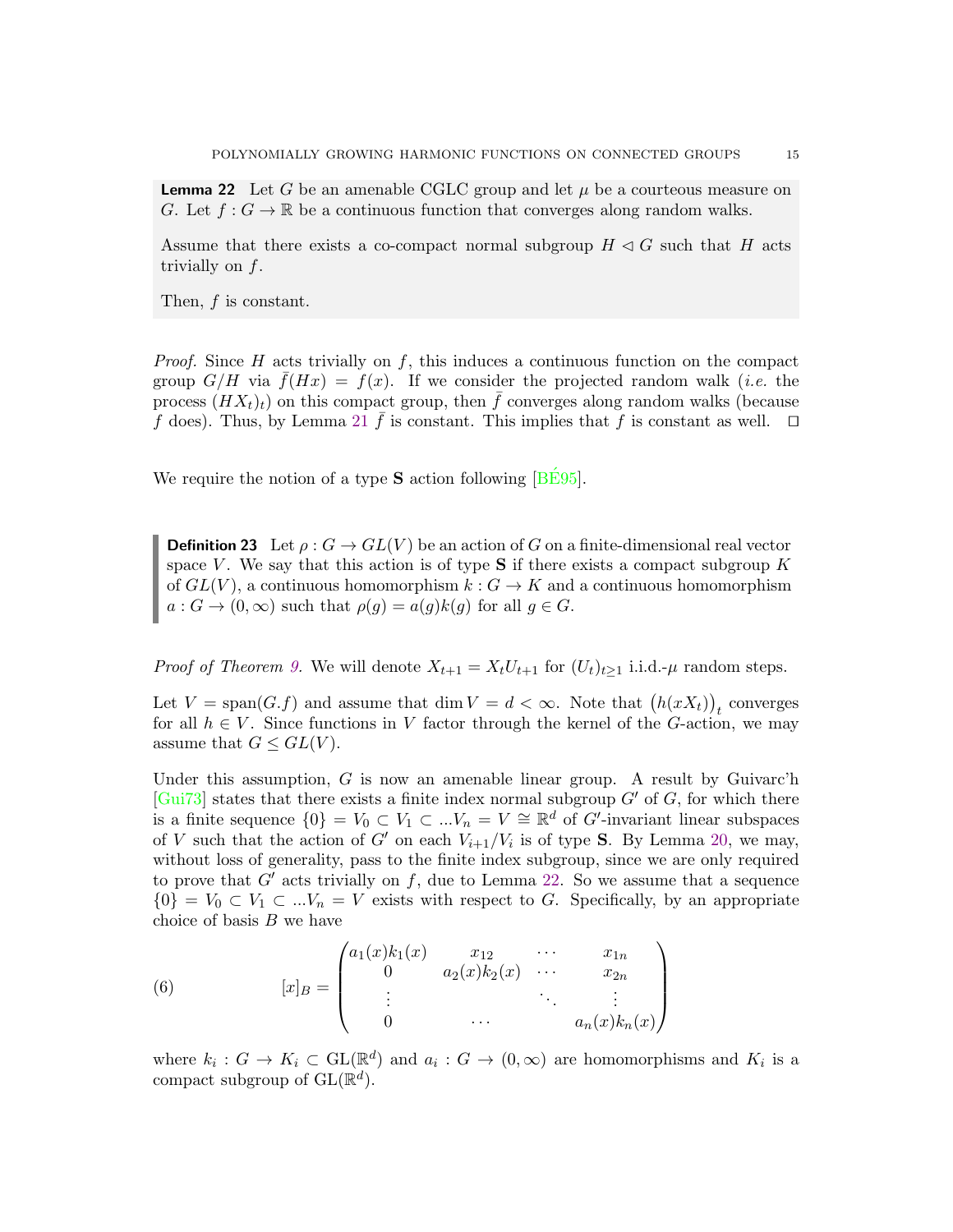<span id="page-14-0"></span>**Lemma 22** Let G be an amenable CGLC group and let  $\mu$  be a courteous measure on G. Let  $f: G \to \mathbb{R}$  be a continuous function that converges along random walks.

Assume that there exists a co-compact normal subgroup  $H \triangleleft G$  such that H acts trivially on f.

Then, f is constant.

*Proof.* Since H acts trivially on f, this induces a continuous function on the compact group  $G/H$  via  $f(Hx) = f(x)$ . If we consider the projected random walk (*i.e.* the process  $(HX_t)_t$ ) on this compact group, then  $\bar{f}$  converges along random walks (because f does). Thus, by Lemma [21](#page-13-1)  $\bar{f}$  is constant. This implies that f is constant as well.  $\Box$ 

We require the notion of a type  $S$  action following  $\sqrt{BES95}$ .

**Definition 23** Let  $\rho$ :  $G \to GL(V)$  be an action of G on a finite-dimensional real vector space V. We say that this action is of type  $S$  if there exists a compact subgroup K of  $GL(V)$ , a continuous homomorphism  $k: G \to K$  and a continuous homomorphism  $a: G \to (0,\infty)$  such that  $\rho(g) = a(g)k(g)$  for all  $g \in G$ .

*Proof of Theorem [9.](#page-6-0)* We will denote  $X_{t+1} = X_t U_{t+1}$  for  $(U_t)_{t>1}$  i.i.d.- $\mu$  random steps.

Let  $V = \text{span}(G, f)$  and assume that  $\dim V = d < \infty$ . Note that  $(h(xX_t))_t$  converges for all  $h \in V$ . Since functions in V factor through the kernel of the G-action, we may assume that  $G \leq GL(V)$ .

Under this assumption,  $G$  is now an amenable linear group. A result by Guivarc'h [\[Gui73\]](#page-17-23) states that there exists a finite index normal subgroup  $G'$  of  $G$ , for which there is a finite sequence  $\{0\} = V_0 \subset V_1 \subset ... V_n = V \cong \mathbb{R}^d$  of G'-invariant linear subspaces of V such that the action of G' on each  $V_{i+1}/V_i$  is of type S. By Lemma [20,](#page-13-2) we may, without loss of generality, pass to the finite index subgroup, since we are only required to prove that  $G'$  acts trivially on  $f$ , due to Lemma [22.](#page-14-0) So we assume that a sequence  ${0} = V_0 \subset V_1 \subset ... V_n = V$  exists with respect to G. Specifically, by an appropriate choice of basis  $B$  we have

<span id="page-14-1"></span>(6) 
$$
[x]_B = \begin{pmatrix} a_1(x)k_1(x) & x_{12} & \cdots & x_{1n} \\ 0 & a_2(x)k_2(x) & \cdots & x_{2n} \\ \vdots & \vdots & \ddots & \vdots \\ 0 & \cdots & a_n(x)k_n(x) \end{pmatrix}
$$

where  $k_i: G \to K_i \subset GL(\mathbb{R}^d)$  and  $a_i: G \to (0, \infty)$  are homomorphisms and  $K_i$  is a compact subgroup of  $\text{GL}(\mathbb{R}^d)$ .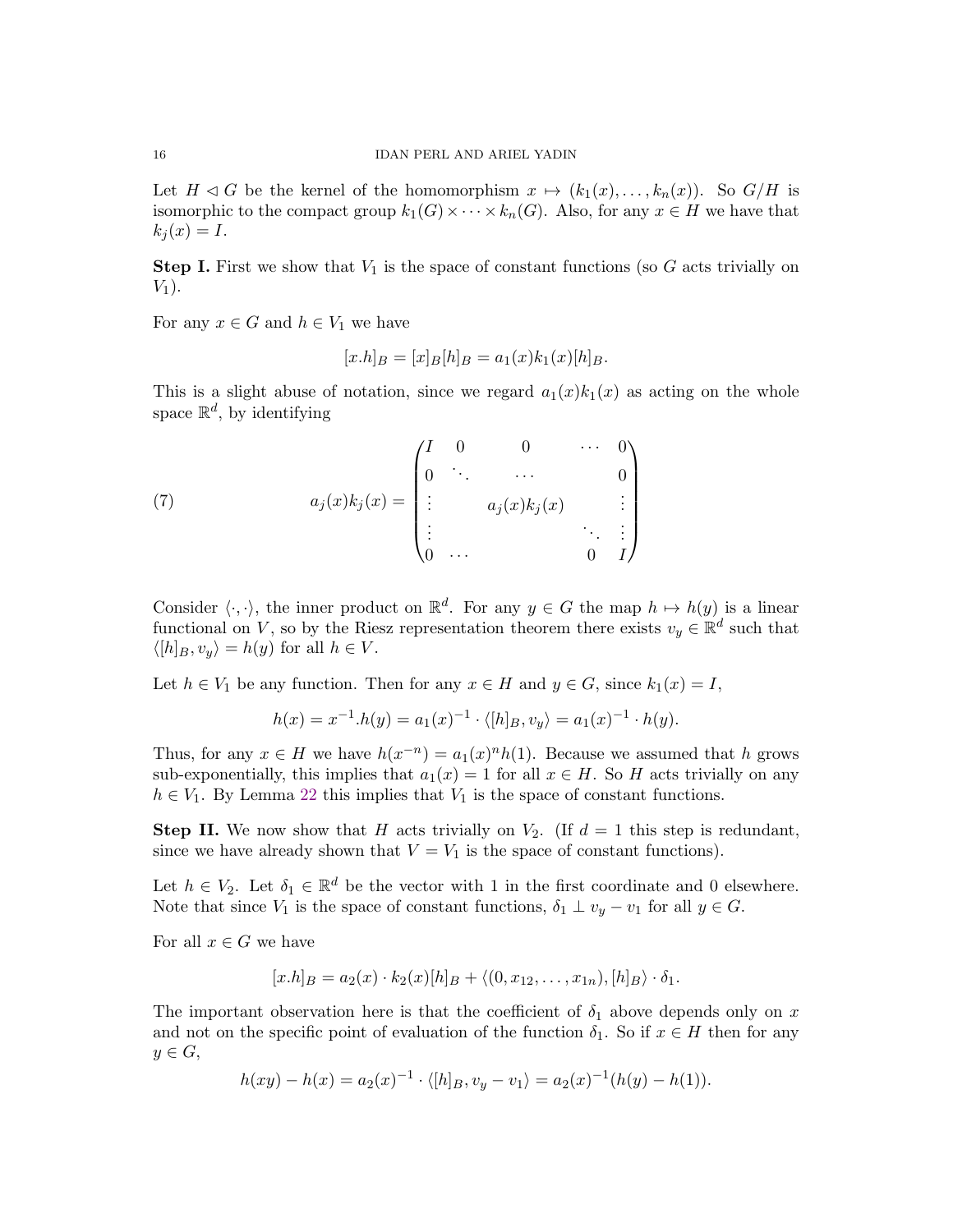Let  $H \triangleleft G$  be the kernel of the homomorphism  $x \mapsto (k_1(x), \ldots, k_n(x))$ . So  $G/H$  is isomorphic to the compact group  $k_1(G) \times \cdots \times k_n(G)$ . Also, for any  $x \in H$  we have that  $k_i(x) = I.$ 

**Step I.** First we show that  $V_1$  is the space of constant functions (so G acts trivially on  $V_1$ ).

For any  $x \in G$  and  $h \in V_1$  we have

$$
[x.h]_B = [x]_B [h]_B = a_1(x)k_1(x)[h]_B.
$$

This is a slight abuse of notation, since we regard  $a_1(x)k_1(x)$  as acting on the whole space  $\mathbb{R}^d$ , by identifying

(7) 
$$
a_j(x)k_j(x) = \begin{pmatrix} I & 0 & 0 & \cdots & 0 \\ 0 & \ddots & \cdots & & 0 \\ \vdots & & a_j(x)k_j(x) & & \vdots \\ \vdots & & & \ddots & \vdots \\ 0 & \cdots & & 0 & I \end{pmatrix}
$$

Consider  $\langle \cdot, \cdot \rangle$ , the inner product on  $\mathbb{R}^d$ . For any  $y \in G$  the map  $h \mapsto h(y)$  is a linear functional on V, so by the Riesz representation theorem there exists  $v_y \in \mathbb{R}^d$  such that  $\langle [h]_B, v_y \rangle = h(y)$  for all  $h \in V$ .

Let  $h \in V_1$  be any function. Then for any  $x \in H$  and  $y \in G$ , since  $k_1(x) = I$ ,

$$
h(x) = x^{-1}.h(y) = a_1(x)^{-1} \cdot \langle [h]_B, v_y \rangle = a_1(x)^{-1} \cdot h(y).
$$

Thus, for any  $x \in H$  we have  $h(x^{-n}) = a_1(x)^n h(1)$ . Because we assumed that h grows sub-exponentially, this implies that  $a_1(x) = 1$  for all  $x \in H$ . So H acts trivially on any  $h \in V_1$ . By Lemma [22](#page-14-0) this implies that  $V_1$  is the space of constant functions.

**Step II.** We now show that H acts trivially on  $V_2$ . (If  $d = 1$  this step is redundant, since we have already shown that  $V = V_1$  is the space of constant functions).

Let  $h \in V_2$ . Let  $\delta_1 \in \mathbb{R}^d$  be the vector with 1 in the first coordinate and 0 elsewhere. Note that since  $V_1$  is the space of constant functions,  $\delta_1 \perp v_y - v_1$  for all  $y \in G$ .

For all  $x \in G$  we have

$$
[x.h]_B = a_2(x) \cdot k_2(x)[h]_B + \langle (0, x_{12}, \dots, x_{1n}), [h]_B \rangle \cdot \delta_1.
$$

The important observation here is that the coefficient of  $\delta_1$  above depends only on x and not on the specific point of evaluation of the function  $\delta_1$ . So if  $x \in H$  then for any  $y \in G$ ,

$$
h(xy) - h(x) = a_2(x)^{-1} \cdot \langle [h]_B, v_y - v_1 \rangle = a_2(x)^{-1} (h(y) - h(1)).
$$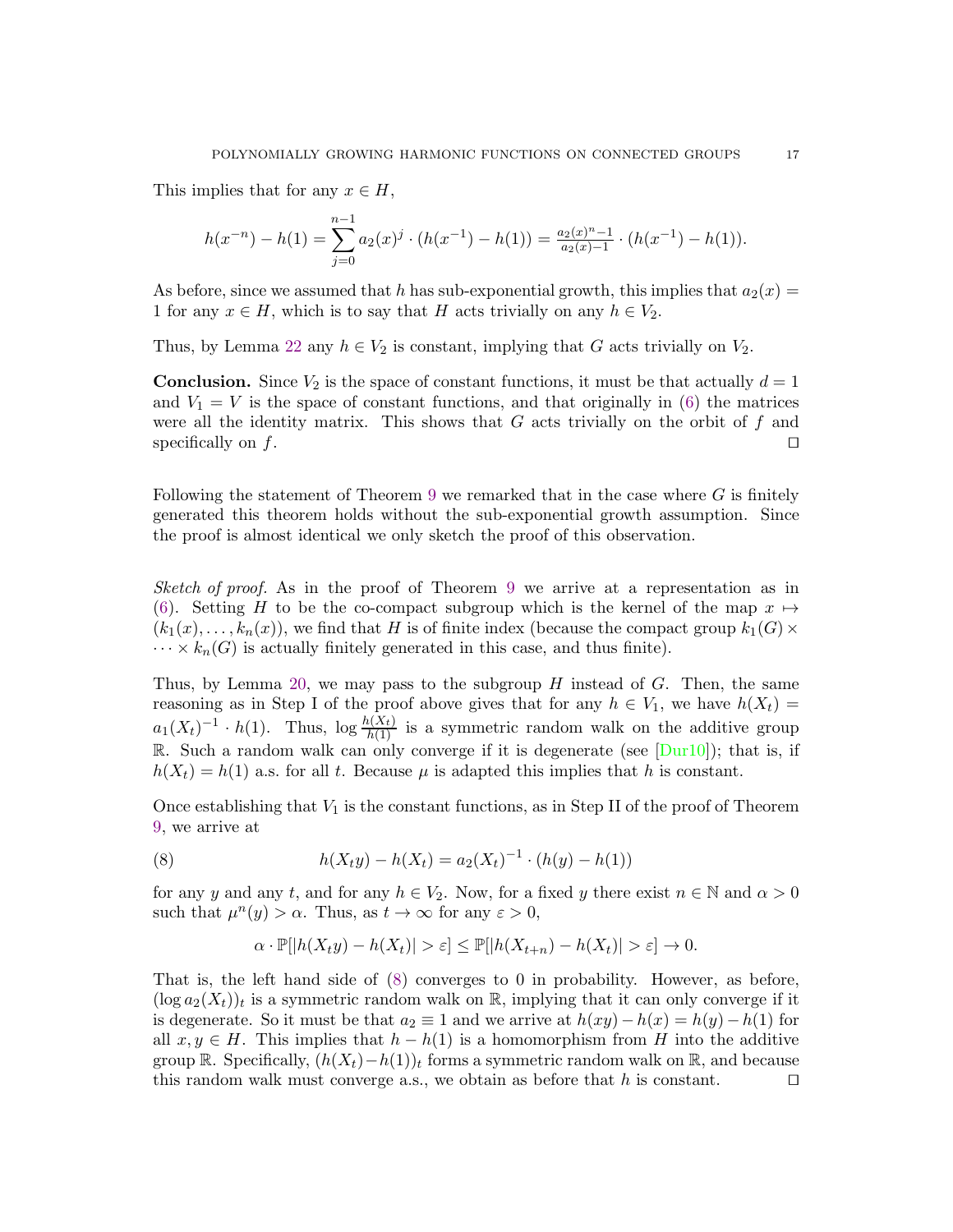This implies that for any  $x \in H$ ,

$$
h(x^{-n}) - h(1) = \sum_{j=0}^{n-1} a_2(x)^j \cdot (h(x^{-1}) - h(1)) = \frac{a_2(x)^{n-1}}{a_2(x)-1} \cdot (h(x^{-1}) - h(1)).
$$

As before, since we assumed that h has sub-exponential growth, this implies that  $a_2(x) =$ 1 for any  $x \in H$ , which is to say that H acts trivially on any  $h \in V_2$ .

Thus, by Lemma [22](#page-14-0) any  $h \in V_2$  is constant, implying that G acts trivially on  $V_2$ .

**Conclusion.** Since  $V_2$  is the space of constant functions, it must be that actually  $d = 1$ and  $V_1 = V$  is the space of constant functions, and that originally in [\(6\)](#page-14-1) the matrices were all the identity matrix. This shows that  $G$  acts trivially on the orbit of  $f$  and specifically on f.  $□$ 

Following the statement of Theorem [9](#page-6-0) we remarked that in the case where  $G$  is finitely generated this theorem holds without the sub-exponential growth assumption. Since the proof is almost identical we only sketch the proof of this observation.

Sketch of proof. As in the proof of Theorem [9](#page-6-0) we arrive at a representation as in [\(6\)](#page-14-1). Setting H to be the co-compact subgroup which is the kernel of the map  $x \mapsto$  $(k_1(x), \ldots, k_n(x))$ , we find that H is of finite index (because the compact group  $k_1(G)$  ×  $\cdots \times k_n(G)$  is actually finitely generated in this case, and thus finite).

Thus, by Lemma [20,](#page-13-2) we may pass to the subgroup  $H$  instead of  $G$ . Then, the same reasoning as in Step I of the proof above gives that for any  $h \in V_1$ , we have  $h(X_t) =$  $a_1(X_t)^{-1} \cdot h(1)$ . Thus,  $\log \frac{h(X_t)}{h(1)}$  is a symmetric random walk on the additive group R. Such a random walk can only converge if it is degenerate (see  $\text{[Dur10]}$  $\text{[Dur10]}$  $\text{[Dur10]}$ ); that is, if  $h(X_t) = h(1)$  a.s. for all t. Because  $\mu$  is adapted this implies that h is constant.

Once establishing that  $V_1$  is the constant functions, as in Step II of the proof of Theorem [9,](#page-6-0) we arrive at

<span id="page-16-0"></span>(8) 
$$
h(X_t y) - h(X_t) = a_2(X_t)^{-1} \cdot (h(y) - h(1))
$$

for any y and any t, and for any  $h \in V_2$ . Now, for a fixed y there exist  $n \in \mathbb{N}$  and  $\alpha > 0$ such that  $\mu^n(y) > \alpha$ . Thus, as  $t \to \infty$  for any  $\varepsilon > 0$ ,

$$
\alpha \cdot \mathbb{P}[|h(X_t y) - h(X_t)| > \varepsilon] \le \mathbb{P}[|h(X_{t+n}) - h(X_t)| > \varepsilon] \to 0.
$$

That is, the left hand side of [\(8\)](#page-16-0) converges to 0 in probability. However, as before,  $(\log a_2(X_t))_t$  is a symmetric random walk on  $\mathbb R$ , implying that it can only converge if it is degenerate. So it must be that  $a_2 \equiv 1$  and we arrive at  $h(xy) - h(x) = h(y) - h(1)$  for all  $x, y \in H$ . This implies that  $h - h(1)$  is a homomorphism from H into the additive group  $\mathbb R$ . Specifically,  $(h(X_t)-h(1))_t$  forms a symmetric random walk on  $\mathbb R$ , and because this random walk must converge a.s., we obtain as before that h is constant.  $□$